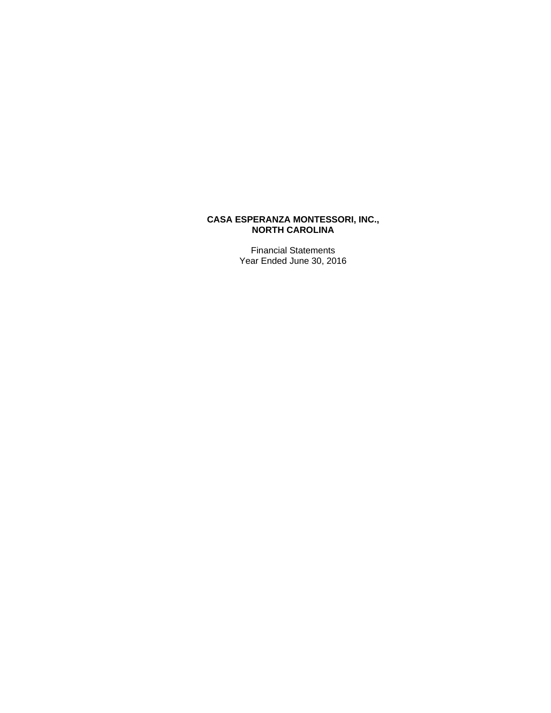Financial Statements Year Ended June 30, 2016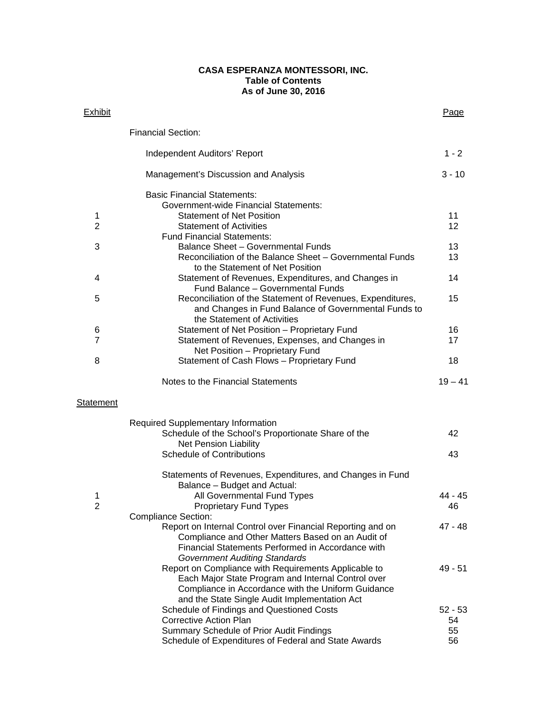# **CASA ESPERANZA MONTESSORI, INC. Table of Contents As of June 30, 2016**

| Exhibit        |                                                                                                        | Page      |
|----------------|--------------------------------------------------------------------------------------------------------|-----------|
|                | <b>Financial Section:</b>                                                                              |           |
|                | Independent Auditors' Report                                                                           | $1 - 2$   |
|                | Management's Discussion and Analysis                                                                   | $3 - 10$  |
|                | <b>Basic Financial Statements:</b>                                                                     |           |
|                | Government-wide Financial Statements:                                                                  |           |
| 1              | <b>Statement of Net Position</b>                                                                       | 11        |
| $\overline{2}$ | <b>Statement of Activities</b><br><b>Fund Financial Statements:</b>                                    | 12        |
| 3              | Balance Sheet - Governmental Funds                                                                     | 13        |
|                | Reconciliation of the Balance Sheet - Governmental Funds                                               | 13        |
|                | to the Statement of Net Position                                                                       |           |
| 4              | Statement of Revenues, Expenditures, and Changes in                                                    | 14        |
|                | Fund Balance - Governmental Funds                                                                      |           |
| 5              | Reconciliation of the Statement of Revenues, Expenditures,                                             | 15        |
|                | and Changes in Fund Balance of Governmental Funds to<br>the Statement of Activities                    |           |
| 6              | Statement of Net Position - Proprietary Fund                                                           | 16        |
| 7              | Statement of Revenues, Expenses, and Changes in                                                        | 17        |
|                | Net Position - Proprietary Fund                                                                        |           |
| 8              | Statement of Cash Flows - Proprietary Fund                                                             | 18        |
|                | Notes to the Financial Statements                                                                      | $19 - 41$ |
| Statement      |                                                                                                        |           |
|                |                                                                                                        |           |
|                | <b>Required Supplementary Information</b><br>Schedule of the School's Proportionate Share of the       | 42        |
|                | <b>Net Pension Liability</b>                                                                           |           |
|                | <b>Schedule of Contributions</b>                                                                       | 43        |
|                | Statements of Revenues, Expenditures, and Changes in Fund                                              |           |
|                | Balance - Budget and Actual:                                                                           |           |
|                | All Governmental Fund Types                                                                            | 44 - 45   |
| $\overline{c}$ | <b>Proprietary Fund Types</b>                                                                          | 46        |
|                | <b>Compliance Section:</b>                                                                             |           |
|                | Report on Internal Control over Financial Reporting and on                                             | 47 - 48   |
|                | Compliance and Other Matters Based on an Audit of<br>Financial Statements Performed in Accordance with |           |
|                | <b>Government Auditing Standards</b>                                                                   |           |
|                | Report on Compliance with Requirements Applicable to                                                   | $49 - 51$ |
|                | Each Major State Program and Internal Control over                                                     |           |
|                | Compliance in Accordance with the Uniform Guidance                                                     |           |
|                | and the State Single Audit Implementation Act                                                          |           |
|                | Schedule of Findings and Questioned Costs<br><b>Corrective Action Plan</b>                             | $52 - 53$ |
|                | Summary Schedule of Prior Audit Findings                                                               | 54<br>55  |
|                |                                                                                                        |           |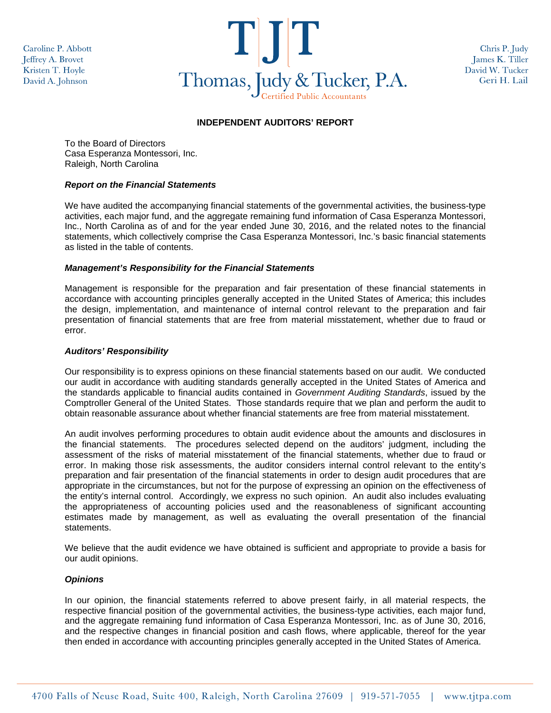Caroline P. Abbott Jeffrey A. Brovet Kristen T. Hoyle David A. Johnson



Chris P. Judy James K. Tiller David W. Tucker Geri H. Lail

# **INDEPENDENT AUDITORS' REPORT**

To the Board of Directors Casa Esperanza Montessori, Inc. Raleigh, North Carolina

# *Report on the Financial Statements*

We have audited the accompanying financial statements of the governmental activities, the business-type activities, each major fund, and the aggregate remaining fund information of Casa Esperanza Montessori, Inc., North Carolina as of and for the year ended June 30, 2016, and the related notes to the financial statements, which collectively comprise the Casa Esperanza Montessori, Inc.'s basic financial statements as listed in the table of contents.

# *Management's Responsibility for the Financial Statements*

Management is responsible for the preparation and fair presentation of these financial statements in accordance with accounting principles generally accepted in the United States of America; this includes the design, implementation, and maintenance of internal control relevant to the preparation and fair presentation of financial statements that are free from material misstatement, whether due to fraud or error.

# *Auditors' Responsibility*

Our responsibility is to express opinions on these financial statements based on our audit. We conducted our audit in accordance with auditing standards generally accepted in the United States of America and the standards applicable to financial audits contained in *Government Auditing Standards*, issued by the Comptroller General of the United States. Those standards require that we plan and perform the audit to obtain reasonable assurance about whether financial statements are free from material misstatement.

An audit involves performing procedures to obtain audit evidence about the amounts and disclosures in the financial statements. The procedures selected depend on the auditors' judgment, including the assessment of the risks of material misstatement of the financial statements, whether due to fraud or error. In making those risk assessments, the auditor considers internal control relevant to the entity's preparation and fair presentation of the financial statements in order to design audit procedures that are appropriate in the circumstances, but not for the purpose of expressing an opinion on the effectiveness of the entity's internal control. Accordingly, we express no such opinion. An audit also includes evaluating the appropriateness of accounting policies used and the reasonableness of significant accounting estimates made by management, as well as evaluating the overall presentation of the financial statements.

We believe that the audit evidence we have obtained is sufficient and appropriate to provide a basis for our audit opinions.

# *Opinions*

In our opinion, the financial statements referred to above present fairly, in all material respects, the respective financial position of the governmental activities, the business-type activities, each major fund, and the aggregate remaining fund information of Casa Esperanza Montessori, Inc. as of June 30, 2016, and the respective changes in financial position and cash flows, where applicable, thereof for the year then ended in accordance with accounting principles generally accepted in the United States of America.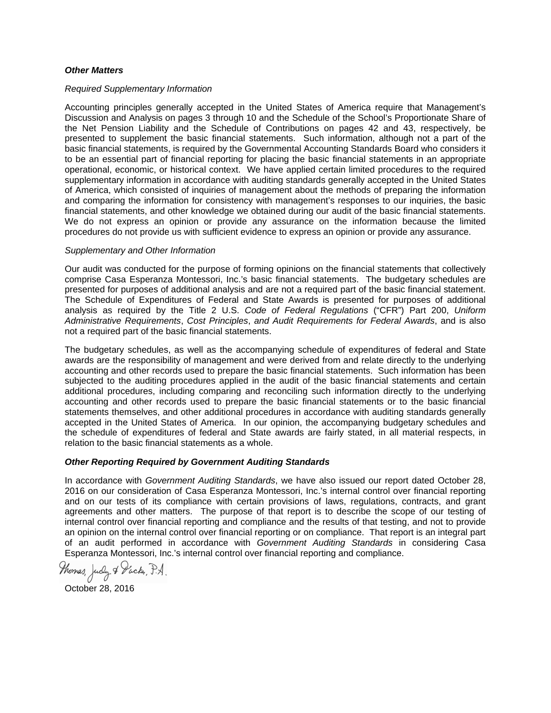## *Other Matters*

## *Required Supplementary Information*

Accounting principles generally accepted in the United States of America require that Management's Discussion and Analysis on pages 3 through 10 and the Schedule of the School's Proportionate Share of the Net Pension Liability and the Schedule of Contributions on pages 42 and 43, respectively, be presented to supplement the basic financial statements. Such information, although not a part of the basic financial statements, is required by the Governmental Accounting Standards Board who considers it to be an essential part of financial reporting for placing the basic financial statements in an appropriate operational, economic, or historical context. We have applied certain limited procedures to the required supplementary information in accordance with auditing standards generally accepted in the United States of America, which consisted of inquiries of management about the methods of preparing the information and comparing the information for consistency with management's responses to our inquiries, the basic financial statements, and other knowledge we obtained during our audit of the basic financial statements. We do not express an opinion or provide any assurance on the information because the limited procedures do not provide us with sufficient evidence to express an opinion or provide any assurance.

## *Supplementary and Other Information*

Our audit was conducted for the purpose of forming opinions on the financial statements that collectively comprise Casa Esperanza Montessori, Inc.'s basic financial statements. The budgetary schedules are presented for purposes of additional analysis and are not a required part of the basic financial statement. The Schedule of Expenditures of Federal and State Awards is presented for purposes of additional analysis as required by the Title 2 U.S. *Code of Federal Regulations* ("CFR") Part 200, *Uniform Administrative Requirements*, *Cost Principles*, *and Audit Requirements for Federal Awards*, and is also not a required part of the basic financial statements.

The budgetary schedules, as well as the accompanying schedule of expenditures of federal and State awards are the responsibility of management and were derived from and relate directly to the underlying accounting and other records used to prepare the basic financial statements. Such information has been subjected to the auditing procedures applied in the audit of the basic financial statements and certain additional procedures, including comparing and reconciling such information directly to the underlying accounting and other records used to prepare the basic financial statements or to the basic financial statements themselves, and other additional procedures in accordance with auditing standards generally accepted in the United States of America. In our opinion, the accompanying budgetary schedules and the schedule of expenditures of federal and State awards are fairly stated, in all material respects, in relation to the basic financial statements as a whole.

# *Other Reporting Required by Government Auditing Standards*

In accordance with *Government Auditing Standards*, we have also issued our report dated October 28, 2016 on our consideration of Casa Esperanza Montessori, Inc.'s internal control over financial reporting and on our tests of its compliance with certain provisions of laws, regulations, contracts, and grant agreements and other matters. The purpose of that report is to describe the scope of our testing of internal control over financial reporting and compliance and the results of that testing, and not to provide an opinion on the internal control over financial reporting or on compliance. That report is an integral part of an audit performed in accordance with *Government Auditing Standards* in considering Casa Esperanza Montessori, Inc.'s internal control over financial reporting and compliance.

Thomas, Judy & Pucke, P.A.

October 28, 2016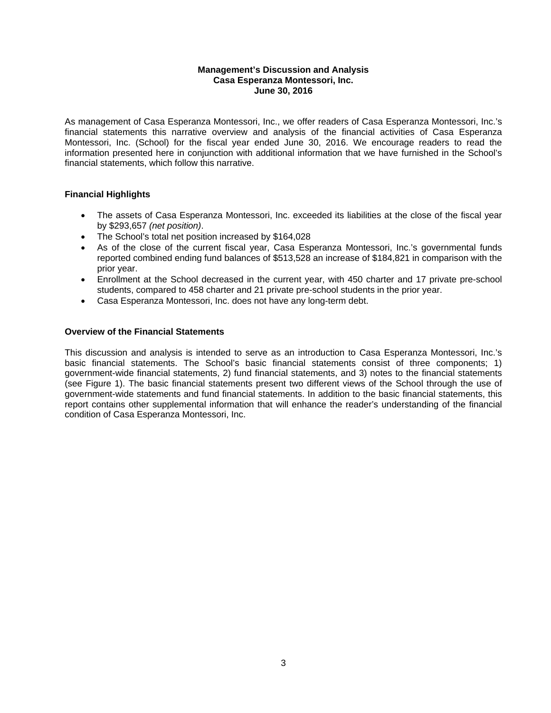# **Management's Discussion and Analysis Casa Esperanza Montessori, Inc. June 30, 2016**

As management of Casa Esperanza Montessori, Inc., we offer readers of Casa Esperanza Montessori, Inc.'s financial statements this narrative overview and analysis of the financial activities of Casa Esperanza Montessori, Inc. (School) for the fiscal year ended June 30, 2016. We encourage readers to read the information presented here in conjunction with additional information that we have furnished in the School's financial statements, which follow this narrative.

# **Financial Highlights**

- The assets of Casa Esperanza Montessori, Inc. exceeded its liabilities at the close of the fiscal year by \$293,657 *(net position)*.
- The School's total net position increased by \$164,028
- As of the close of the current fiscal year, Casa Esperanza Montessori, Inc.'s governmental funds reported combined ending fund balances of \$513,528 an increase of \$184,821 in comparison with the prior year.
- Enrollment at the School decreased in the current year, with 450 charter and 17 private pre-school students, compared to 458 charter and 21 private pre-school students in the prior year.
- Casa Esperanza Montessori, Inc. does not have any long-term debt.

# **Overview of the Financial Statements**

This discussion and analysis is intended to serve as an introduction to Casa Esperanza Montessori, Inc.'s basic financial statements. The School's basic financial statements consist of three components; 1) government-wide financial statements, 2) fund financial statements, and 3) notes to the financial statements (see Figure 1). The basic financial statements present two different views of the School through the use of government-wide statements and fund financial statements. In addition to the basic financial statements, this report contains other supplemental information that will enhance the reader's understanding of the financial condition of Casa Esperanza Montessori, Inc.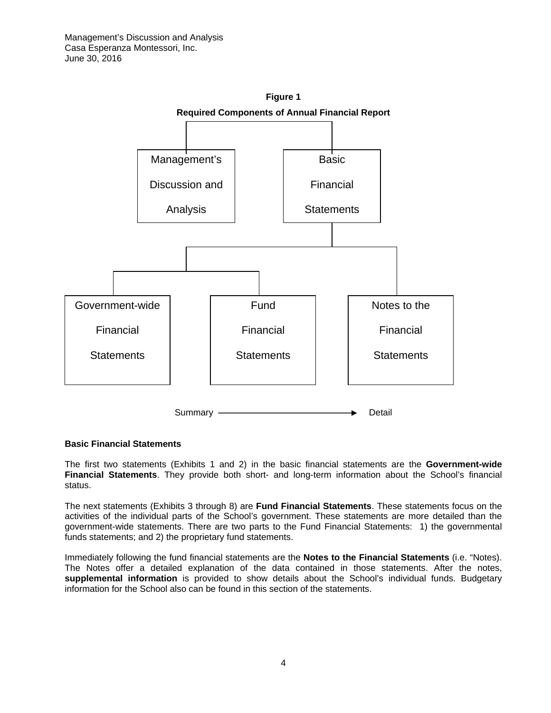

Summary **Contract Contract Contract Contract Contract Contract Contract Contract Contract Contract Contract Contract Contract Contract Contract Contract Contract Contract Contract Contract Contract Contract Contract Contra** 

# **Basic Financial Statements**

The first two statements (Exhibits 1 and 2) in the basic financial statements are the **Government-wide Financial Statements**. They provide both short- and long-term information about the School's financial status.

The next statements (Exhibits 3 through 8) are **Fund Financial Statements**. These statements focus on the activities of the individual parts of the School's government. These statements are more detailed than the government-wide statements. There are two parts to the Fund Financial Statements: 1) the governmental funds statements; and 2) the proprietary fund statements.

Immediately following the fund financial statements are the **Notes to the Financial Statements** (i.e. "Notes). The Notes offer a detailed explanation of the data contained in those statements. After the notes, **supplemental information** is provided to show details about the School's individual funds. Budgetary information for the School also can be found in this section of the statements.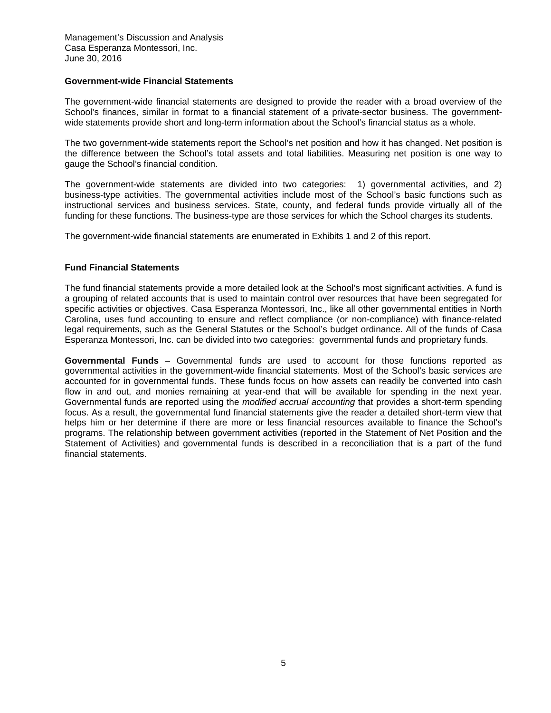Management's Discussion and Analysis Casa Esperanza Montessori, Inc. June 30, 2016

## **Government-wide Financial Statements**

The government-wide financial statements are designed to provide the reader with a broad overview of the School's finances, similar in format to a financial statement of a private-sector business. The governmentwide statements provide short and long-term information about the School's financial status as a whole.

The two government-wide statements report the School's net position and how it has changed. Net position is the difference between the School's total assets and total liabilities. Measuring net position is one way to gauge the School's financial condition.

The government-wide statements are divided into two categories: 1) governmental activities, and 2) business-type activities. The governmental activities include most of the School's basic functions such as instructional services and business services. State, county, and federal funds provide virtually all of the funding for these functions. The business-type are those services for which the School charges its students.

The government-wide financial statements are enumerated in Exhibits 1 and 2 of this report.

# **Fund Financial Statements**

The fund financial statements provide a more detailed look at the School's most significant activities. A fund is a grouping of related accounts that is used to maintain control over resources that have been segregated for specific activities or objectives. Casa Esperanza Montessori, Inc., like all other governmental entities in North Carolina, uses fund accounting to ensure and reflect compliance (or non-compliance) with finance-related legal requirements, such as the General Statutes or the School's budget ordinance. All of the funds of Casa Esperanza Montessori, Inc. can be divided into two categories: governmental funds and proprietary funds.

**Governmental Funds** – Governmental funds are used to account for those functions reported as governmental activities in the government-wide financial statements. Most of the School's basic services are accounted for in governmental funds. These funds focus on how assets can readily be converted into cash flow in and out, and monies remaining at year-end that will be available for spending in the next year. Governmental funds are reported using the *modified accrual accounting* that provides a short-term spending focus. As a result, the governmental fund financial statements give the reader a detailed short-term view that helps him or her determine if there are more or less financial resources available to finance the School's programs. The relationship between government activities (reported in the Statement of Net Position and the Statement of Activities) and governmental funds is described in a reconciliation that is a part of the fund financial statements.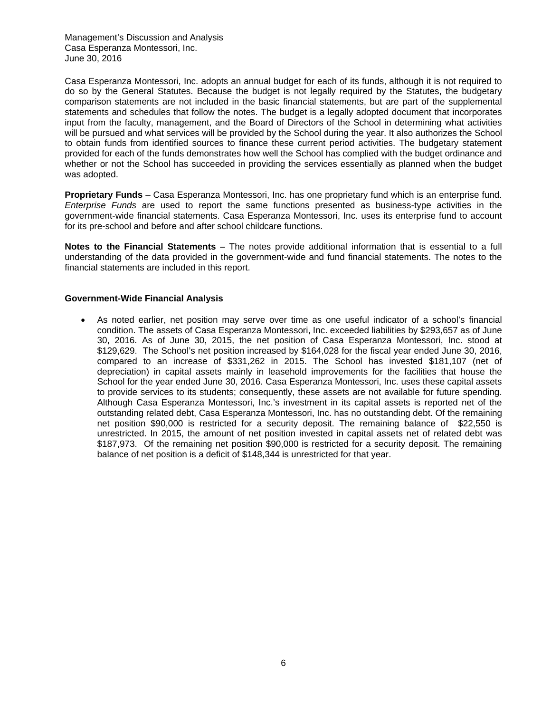Management's Discussion and Analysis Casa Esperanza Montessori, Inc. June 30, 2016

Casa Esperanza Montessori, Inc. adopts an annual budget for each of its funds, although it is not required to do so by the General Statutes. Because the budget is not legally required by the Statutes, the budgetary comparison statements are not included in the basic financial statements, but are part of the supplemental statements and schedules that follow the notes. The budget is a legally adopted document that incorporates input from the faculty, management, and the Board of Directors of the School in determining what activities will be pursued and what services will be provided by the School during the year. It also authorizes the School to obtain funds from identified sources to finance these current period activities. The budgetary statement provided for each of the funds demonstrates how well the School has complied with the budget ordinance and whether or not the School has succeeded in providing the services essentially as planned when the budget was adopted.

**Proprietary Funds** – Casa Esperanza Montessori, Inc. has one proprietary fund which is an enterprise fund. *Enterprise Funds* are used to report the same functions presented as business-type activities in the government-wide financial statements. Casa Esperanza Montessori, Inc. uses its enterprise fund to account for its pre-school and before and after school childcare functions.

**Notes to the Financial Statements** – The notes provide additional information that is essential to a full understanding of the data provided in the government-wide and fund financial statements. The notes to the financial statements are included in this report.

## **Government-Wide Financial Analysis**

 As noted earlier, net position may serve over time as one useful indicator of a school's financial condition. The assets of Casa Esperanza Montessori, Inc. exceeded liabilities by \$293,657 as of June 30, 2016. As of June 30, 2015, the net position of Casa Esperanza Montessori, Inc. stood at \$129,629. The School's net position increased by \$164,028 for the fiscal year ended June 30, 2016, compared to an increase of \$331,262 in 2015. The School has invested \$181,107 (net of depreciation) in capital assets mainly in leasehold improvements for the facilities that house the School for the year ended June 30, 2016. Casa Esperanza Montessori, Inc. uses these capital assets to provide services to its students; consequently, these assets are not available for future spending. Although Casa Esperanza Montessori, Inc.'s investment in its capital assets is reported net of the outstanding related debt, Casa Esperanza Montessori, Inc. has no outstanding debt. Of the remaining net position \$90,000 is restricted for a security deposit. The remaining balance of \$22,550 is unrestricted. In 2015, the amount of net position invested in capital assets net of related debt was \$187,973. Of the remaining net position \$90,000 is restricted for a security deposit. The remaining balance of net position is a deficit of \$148,344 is unrestricted for that year.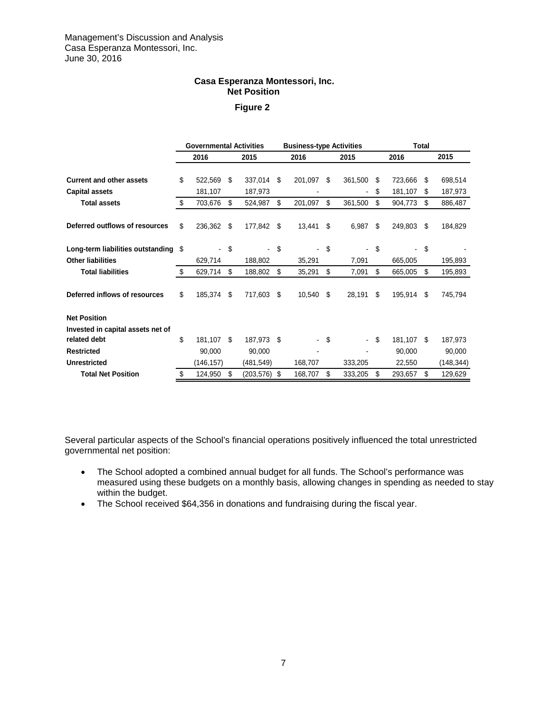# **Casa Esperanza Montessori, Inc. Net Position**

# **Figure 2**

|                                   | <b>Governmental Activities</b> | <b>Business-type Activities</b> |    |         |    | Total   |    |         |     |            |
|-----------------------------------|--------------------------------|---------------------------------|----|---------|----|---------|----|---------|-----|------------|
|                                   | 2016                           | 2015                            |    | 2016    |    | 2015    |    | 2016    |     | 2015       |
|                                   |                                |                                 |    |         |    |         |    |         |     |            |
| <b>Current and other assets</b>   | \$<br>522,569                  | \$<br>337,014                   | \$ | 201,097 | \$ | 361,500 | \$ | 723,666 | -S  | 698,514    |
| <b>Capital assets</b>             | 181,107                        | 187,973                         |    |         |    |         | S  | 181,107 | S   | 187,973    |
| <b>Total assets</b>               | \$<br>703,676                  | \$<br>524,987                   | \$ | 201,097 | \$ | 361,500 | \$ | 904,773 | \$. | 886,487    |
| Deferred outflows of resources    | \$<br>236,362                  | \$<br>177,842                   | \$ | 13,441  | \$ | 6,987   | \$ | 249,803 | \$  | 184,829    |
| Long-term liabilities outstanding | \$                             | \$                              | \$ |         | \$ |         | \$ |         | \$  |            |
| <b>Other liabilities</b>          | 629,714                        | 188,802                         |    | 35,291  |    | 7,091   |    | 665,005 |     | 195,893    |
| <b>Total liabilities</b>          | \$<br>629,714                  | \$<br>188,802                   | \$ | 35,291  | \$ | 7,091   | \$ | 665,005 | \$  | 195,893    |
| Deferred inflows of resources     | \$<br>185,374                  | \$<br>717,603                   | \$ | 10,540  | \$ | 28,191  | \$ | 195,914 | \$  | 745,794    |
| <b>Net Position</b>               |                                |                                 |    |         |    |         |    |         |     |            |
| Invested in capital assets net of |                                |                                 |    |         |    |         |    |         |     |            |
| related debt                      | \$<br>181,107                  | \$<br>187,973                   | \$ | $\sim$  | \$ | $\sim$  | \$ | 181,107 | -S  | 187,973    |
| <b>Restricted</b>                 | 90,000                         | 90,000                          |    |         |    |         |    | 90,000  |     | 90,000     |
| <b>Unrestricted</b>               | (146, 157)                     | (481, 549)                      |    | 168,707 |    | 333,205 |    | 22,550  |     | (148, 344) |
| <b>Total Net Position</b>         | \$<br>124,950                  | \$<br>(203, 576)                | \$ | 168,707 | \$ | 333,205 | \$ | 293,657 | \$  | 129,629    |

Several particular aspects of the School's financial operations positively influenced the total unrestricted governmental net position:

- The School adopted a combined annual budget for all funds. The School's performance was measured using these budgets on a monthly basis, allowing changes in spending as needed to stay within the budget.
- The School received \$64,356 in donations and fundraising during the fiscal year.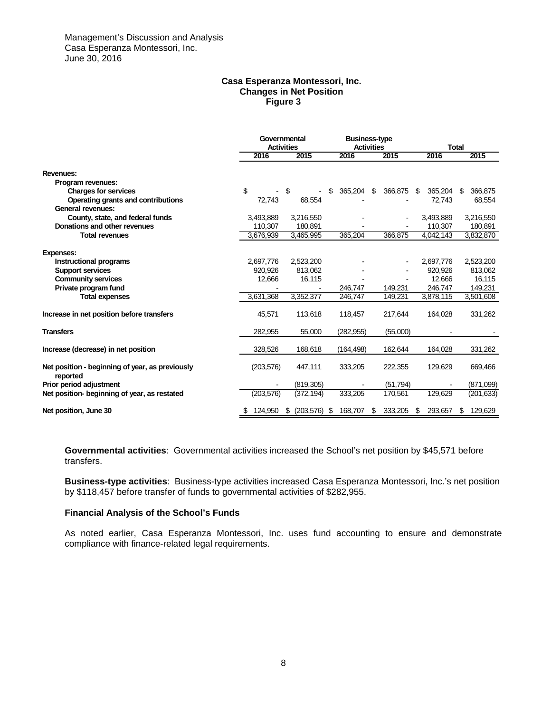## **Casa Esperanza Montessori, Inc. Changes in Net Position Figure 3**

|                                                             |                | Governmental      | <b>Business-type</b> |           |               |               |
|-------------------------------------------------------------|----------------|-------------------|----------------------|-----------|---------------|---------------|
|                                                             |                | <b>Activities</b> | <b>Activities</b>    |           |               | <b>Total</b>  |
|                                                             | 2016           | 2015              | 2016                 | 2015      | 2016          | 2015          |
| Revenues:                                                   |                |                   |                      |           |               |               |
| Program revenues:                                           |                |                   |                      |           |               |               |
| <b>Charges for services</b>                                 | \$             | \$                | 365,204<br>\$<br>\$  | 366,875   | 365,204<br>\$ | 366,875<br>S  |
| Operating grants and contributions                          | 72,743         | 68,554            |                      |           | 72,743        | 68,554        |
| <b>General revenues:</b>                                    |                |                   |                      |           |               |               |
| County, state, and federal funds                            | 3,493,889      | 3,216,550         |                      |           | 3,493,889     | 3,216,550     |
| Donations and other revenues                                | 110,307        | 180,891           |                      |           | 110,307       | 180,891       |
| <b>Total revenues</b>                                       | 3,676,939      | 3,465,995         | 365,204              | 366,875   | 4,042,143     | 3,832,870     |
|                                                             |                |                   |                      |           |               |               |
| <b>Expenses:</b>                                            |                |                   |                      |           |               |               |
| <b>Instructional programs</b>                               | 2,697,776      | 2,523,200         |                      |           | 2,697,776     | 2,523,200     |
| <b>Support services</b>                                     | 920.926        | 813,062           |                      |           | 920,926       | 813,062       |
| <b>Community services</b>                                   | 12,666         | 16,115            |                      |           | 12,666        | 16,115        |
| Private program fund                                        |                |                   | 246,747              | 149,231   | 246,747       | 149,231       |
| <b>Total expenses</b>                                       | 3,631,368      | 3,352,377         | 246,747              | 149,231   | 3,878,115     | 3,501,608     |
| Increase in net position before transfers                   | 45,571         | 113,618           | 118,457              | 217.644   | 164,028       | 331,262       |
| <b>Transfers</b>                                            | 282,955        | 55,000            | (282, 955)           | (55,000)  |               |               |
| Increase (decrease) in net position                         | 328,526        | 168,618           | (164, 498)           | 162,644   | 164,028       | 331,262       |
| Net position - beginning of year, as previously<br>reported | (203, 576)     | 447,111           | 333,205              | 222,355   | 129,629       | 669,466       |
| Prior period adjustment                                     | $\blacksquare$ | (819, 305)        |                      | (51, 794) |               | (871,099)     |
| Net position- beginning of year, as restated                | (203, 576)     | (372, 194)        | 333,205              | 170,561   | 129,629       | (201, 633)    |
| Net position, June 30                                       | 124,950<br>\$  | (203, 576)<br>\$  | \$<br>168,707<br>S   | 333,205   | \$<br>293,657 | \$<br>129,629 |

**Governmental activities**: Governmental activities increased the School's net position by \$45,571 before transfers.

**Business-type activities**: Business-type activities increased Casa Esperanza Montessori, Inc.'s net position by \$118,457 before transfer of funds to governmental activities of \$282,955.

## **Financial Analysis of the School's Funds**

As noted earlier, Casa Esperanza Montessori, Inc. uses fund accounting to ensure and demonstrate compliance with finance-related legal requirements.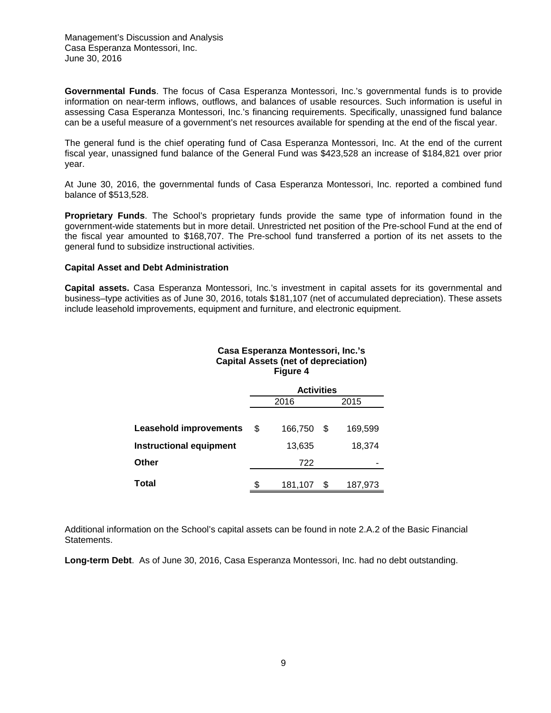Management's Discussion and Analysis Casa Esperanza Montessori, Inc. June 30, 2016

**Governmental Funds**. The focus of Casa Esperanza Montessori, Inc.'s governmental funds is to provide information on near-term inflows, outflows, and balances of usable resources. Such information is useful in assessing Casa Esperanza Montessori, Inc.'s financing requirements. Specifically, unassigned fund balance can be a useful measure of a government's net resources available for spending at the end of the fiscal year.

The general fund is the chief operating fund of Casa Esperanza Montessori, Inc. At the end of the current fiscal year, unassigned fund balance of the General Fund was \$423,528 an increase of \$184,821 over prior year.

At June 30, 2016, the governmental funds of Casa Esperanza Montessori, Inc. reported a combined fund balance of \$513,528.

**Proprietary Funds**. The School's proprietary funds provide the same type of information found in the government-wide statements but in more detail. Unrestricted net position of the Pre-school Fund at the end of the fiscal year amounted to \$168,707. The Pre-school fund transferred a portion of its net assets to the general fund to subsidize instructional activities.

## **Capital Asset and Debt Administration**

**Capital assets.** Casa Esperanza Montessori, Inc.'s investment in capital assets for its governmental and business–type activities as of June 30, 2016, totals \$181,107 (net of accumulated depreciation). These assets include leasehold improvements, equipment and furniture, and electronic equipment.

## **Casa Esperanza Montessori, Inc.'s Capital Assets (net of depreciation) Figure 4**

|                                | <b>Activities</b> |         |      |         |  |  |  |  |  |
|--------------------------------|-------------------|---------|------|---------|--|--|--|--|--|
|                                |                   | 2016    | 2015 |         |  |  |  |  |  |
|                                |                   |         |      |         |  |  |  |  |  |
| <b>Leasehold improvements</b>  | S                 | 166,750 | - \$ | 169,599 |  |  |  |  |  |
| <b>Instructional equipment</b> |                   | 13,635  |      | 18,374  |  |  |  |  |  |
| Other                          |                   | 722     |      |         |  |  |  |  |  |
| Total                          | \$                | 181,107 | \$.  | 187,973 |  |  |  |  |  |

Additional information on the School's capital assets can be found in note 2.A.2 of the Basic Financial Statements.

**Long-term Debt**. As of June 30, 2016, Casa Esperanza Montessori, Inc. had no debt outstanding.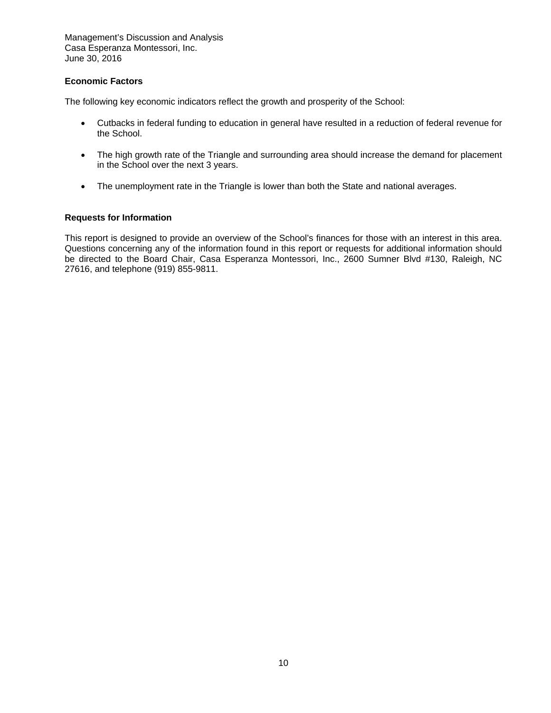Management's Discussion and Analysis Casa Esperanza Montessori, Inc. June 30, 2016

# **Economic Factors**

The following key economic indicators reflect the growth and prosperity of the School:

- Cutbacks in federal funding to education in general have resulted in a reduction of federal revenue for the School.
- The high growth rate of the Triangle and surrounding area should increase the demand for placement in the School over the next 3 years.
- The unemployment rate in the Triangle is lower than both the State and national averages.

# **Requests for Information**

This report is designed to provide an overview of the School's finances for those with an interest in this area. Questions concerning any of the information found in this report or requests for additional information should be directed to the Board Chair, Casa Esperanza Montessori, Inc., 2600 Sumner Blvd #130, Raleigh, NC 27616, and telephone (919) 855-9811.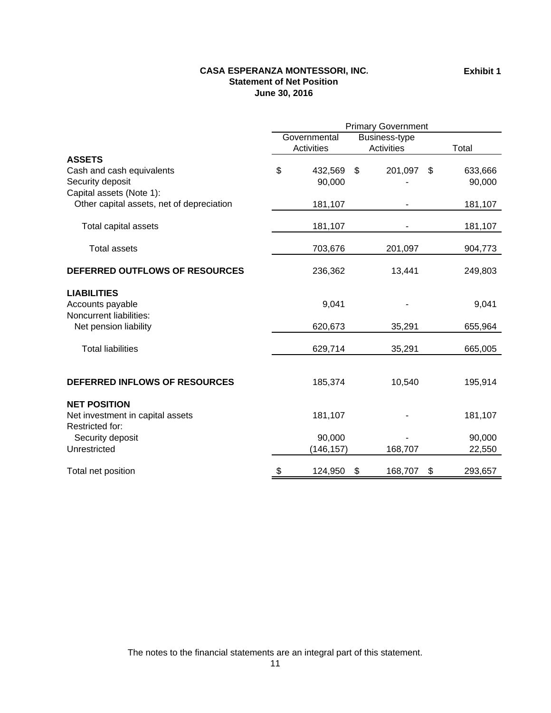# **Statement of Net Position June 30, 2016 CASA ESPERANZA MONTESSORI, INC.**

|                                           | <b>Primary Government</b> |                   |    |                   |    |         |  |
|-------------------------------------------|---------------------------|-------------------|----|-------------------|----|---------|--|
|                                           |                           | Governmental      |    | Business-type     |    |         |  |
|                                           |                           | <b>Activities</b> |    | <b>Activities</b> |    | Total   |  |
| <b>ASSETS</b>                             |                           |                   |    |                   |    |         |  |
| Cash and cash equivalents                 | \$                        | 432,569           | \$ | 201,097           | \$ | 633,666 |  |
| Security deposit                          |                           | 90,000            |    |                   |    | 90,000  |  |
| Capital assets (Note 1):                  |                           |                   |    |                   |    |         |  |
| Other capital assets, net of depreciation |                           | 181,107           |    |                   |    | 181,107 |  |
| Total capital assets                      |                           | 181,107           |    |                   |    | 181,107 |  |
| <b>Total assets</b>                       |                           | 703,676           |    | 201,097           |    | 904,773 |  |
| DEFERRED OUTFLOWS OF RESOURCES            |                           | 236,362           |    | 13,441            |    | 249,803 |  |
| <b>LIABILITIES</b>                        |                           |                   |    |                   |    |         |  |
| Accounts payable                          |                           | 9,041             |    |                   |    | 9,041   |  |
| Noncurrent liabilities:                   |                           |                   |    |                   |    |         |  |
| Net pension liability                     |                           | 620,673           |    | 35,291            |    | 655,964 |  |
| <b>Total liabilities</b>                  |                           | 629,714           |    | 35,291            |    | 665,005 |  |
|                                           |                           |                   |    |                   |    |         |  |
| DEFERRED INFLOWS OF RESOURCES             |                           | 185,374           |    | 10,540            |    | 195,914 |  |
| <b>NET POSITION</b>                       |                           |                   |    |                   |    |         |  |
| Net investment in capital assets          |                           | 181,107           |    |                   |    | 181,107 |  |
| Restricted for:                           |                           |                   |    |                   |    |         |  |
| Security deposit                          |                           | 90,000            |    |                   |    | 90,000  |  |
| Unrestricted                              |                           | (146, 157)        |    | 168,707           |    | 22,550  |  |
| Total net position                        | \$                        | 124,950           | \$ | 168,707           | \$ | 293,657 |  |

The notes to the financial statements are an integral part of this statement.

**Exhibit 1**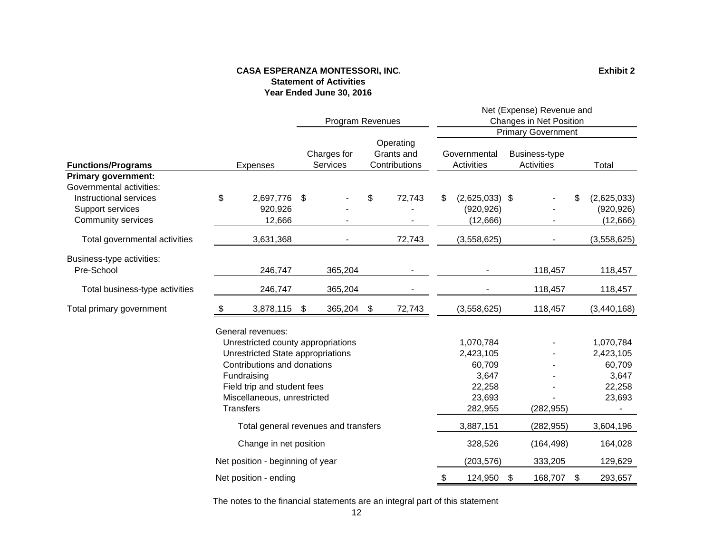# **Statement of Activities CASA ESPERANZA MONTESSORI, INC. Year Ended June 30, 2016**

|                                |                 |                                      |                         | Program Revenues |                                          |        | Net (Expense) Revenue and<br>Changes in Net Position |                  |                             |            |    |             |
|--------------------------------|-----------------|--------------------------------------|-------------------------|------------------|------------------------------------------|--------|------------------------------------------------------|------------------|-----------------------------|------------|----|-------------|
|                                |                 |                                      |                         |                  |                                          |        | <b>Primary Government</b>                            |                  |                             |            |    |             |
| <b>Functions/Programs</b>      | <b>Expenses</b> |                                      | Charges for<br>Services |                  | Operating<br>Grants and<br>Contributions |        | Governmental<br><b>Activities</b>                    |                  | Business-type<br>Activities |            |    | Total       |
| <b>Primary government:</b>     |                 |                                      |                         |                  |                                          |        |                                                      |                  |                             |            |    |             |
| Governmental activities:       |                 |                                      |                         |                  |                                          |        |                                                      |                  |                             |            |    |             |
| Instructional services         | \$              | 2,697,776 \$                         |                         |                  | S                                        | 72,743 | \$.                                                  | $(2,625,033)$ \$ |                             |            |    | (2,625,033) |
| Support services               |                 | 920,926                              |                         |                  |                                          |        |                                                      | (920, 926)       |                             |            |    | (920, 926)  |
| Community services             |                 | 12,666                               |                         |                  |                                          |        |                                                      | (12,666)         |                             |            |    | (12, 666)   |
| Total governmental activities  |                 | 3,631,368                            |                         |                  |                                          | 72,743 |                                                      | (3,558,625)      |                             |            |    | (3,558,625) |
| Business-type activities:      |                 |                                      |                         |                  |                                          |        |                                                      |                  |                             |            |    |             |
| Pre-School                     |                 | 246,747                              |                         | 365,204          |                                          |        |                                                      |                  |                             | 118,457    |    | 118,457     |
| Total business-type activities |                 | 246,747                              |                         | 365,204          |                                          |        |                                                      |                  |                             | 118,457    |    | 118,457     |
| Total primary government       |                 | 3,878,115                            | \$                      | 365,204 \$       |                                          | 72,743 |                                                      | (3,558,625)      |                             | 118,457    |    | (3,440,168) |
|                                |                 | General revenues:                    |                         |                  |                                          |        |                                                      |                  |                             |            |    |             |
|                                |                 | Unrestricted county appropriations   |                         |                  |                                          |        |                                                      | 1,070,784        |                             |            |    | 1,070,784   |
|                                |                 | Unrestricted State appropriations    |                         |                  |                                          |        |                                                      | 2,423,105        |                             |            |    | 2,423,105   |
|                                |                 | Contributions and donations          |                         |                  |                                          |        |                                                      | 60,709           |                             |            |    | 60,709      |
|                                |                 | Fundraising                          |                         |                  |                                          |        |                                                      | 3,647            |                             |            |    | 3,647       |
|                                |                 | Field trip and student fees          |                         |                  |                                          |        |                                                      | 22,258           |                             |            |    | 22,258      |
|                                |                 | Miscellaneous, unrestricted          |                         |                  |                                          |        |                                                      | 23,693           |                             |            |    | 23,693      |
|                                |                 | <b>Transfers</b>                     |                         |                  |                                          |        |                                                      | 282,955          |                             | (282, 955) |    |             |
|                                |                 | Total general revenues and transfers |                         |                  |                                          |        |                                                      | 3,887,151        |                             | (282, 955) |    | 3,604,196   |
|                                |                 | Change in net position               |                         |                  |                                          |        |                                                      | 328,526          |                             | (164, 498) |    | 164,028     |
|                                |                 | Net position - beginning of year     |                         |                  |                                          |        |                                                      | (203, 576)       |                             | 333,205    |    | 129,629     |
|                                |                 | Net position - ending                |                         |                  |                                          |        | \$                                                   | 124,950 \$       |                             | 168,707    | \$ | 293,657     |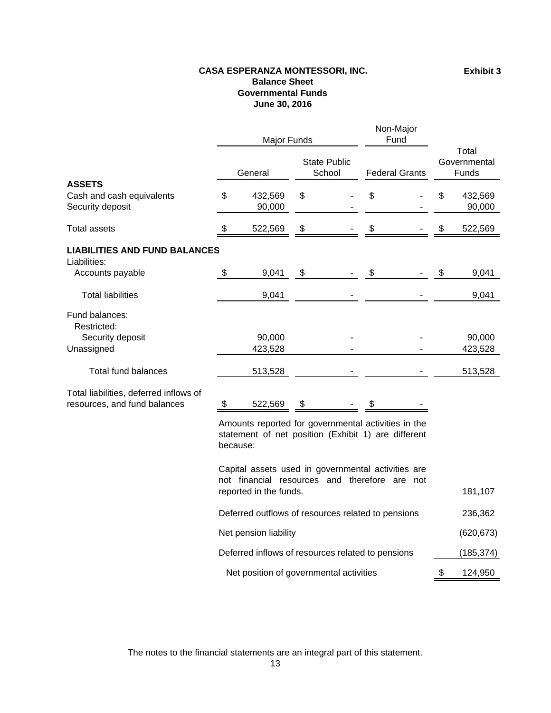# **CASA ESPERANZA MONTESSORI, INC. Balance Sheet Governmental Funds June 30, 2016**

|                                                                                                                               | Major Funds |                                                                                                            |    |                               |                       | Non-Major<br>Fund |    |                                |  |
|-------------------------------------------------------------------------------------------------------------------------------|-------------|------------------------------------------------------------------------------------------------------------|----|-------------------------------|-----------------------|-------------------|----|--------------------------------|--|
|                                                                                                                               |             | General                                                                                                    |    | <b>State Public</b><br>School | <b>Federal Grants</b> |                   |    | Total<br>Governmental<br>Funds |  |
| <b>ASSETS</b><br>Cash and cash equivalents<br>Security deposit                                                                | \$          | 432,569<br>90,000                                                                                          | \$ |                               | \$                    |                   | \$ | 432,569<br>90,000              |  |
| Total assets                                                                                                                  | \$          | 522,569                                                                                                    | \$ |                               | \$                    |                   | \$ | 522,569                        |  |
| <b>LIABILITIES AND FUND BALANCES</b><br>Liabilities:                                                                          |             |                                                                                                            |    |                               |                       |                   |    |                                |  |
| Accounts payable                                                                                                              | \$          | 9,041                                                                                                      | \$ |                               | \$                    |                   | \$ | 9,041                          |  |
| <b>Total liabilities</b>                                                                                                      |             | 9,041                                                                                                      |    |                               |                       |                   |    | 9,041                          |  |
| Fund balances:<br>Restricted:<br>Security deposit                                                                             |             | 90,000                                                                                                     |    |                               |                       |                   |    | 90,000                         |  |
| Unassigned                                                                                                                    |             | 423,528                                                                                                    |    |                               |                       |                   |    | 423,528                        |  |
| <b>Total fund balances</b>                                                                                                    |             | 513,528                                                                                                    |    |                               |                       |                   |    | 513,528                        |  |
| Total liabilities, deferred inflows of<br>resources, and fund balances                                                        | \$          | 522,569                                                                                                    | \$ |                               | \$                    |                   |    |                                |  |
|                                                                                                                               | because:    | Amounts reported for governmental activities in the<br>statement of net position (Exhibit 1) are different |    |                               |                       |                   |    |                                |  |
| Capital assets used in governmental activities are<br>not financial resources and therefore are not<br>reported in the funds. |             |                                                                                                            |    |                               |                       |                   |    | 181,107                        |  |
|                                                                                                                               |             | Deferred outflows of resources related to pensions                                                         |    |                               |                       |                   |    | 236,362                        |  |
|                                                                                                                               |             | Net pension liability                                                                                      |    |                               |                       |                   |    | (620, 673)                     |  |
|                                                                                                                               |             | Deferred inflows of resources related to pensions                                                          |    |                               |                       |                   |    | (185, 374)                     |  |
|                                                                                                                               |             | Net position of governmental activities                                                                    |    |                               |                       |                   | \$ | 124,950                        |  |

The notes to the financial statements are an integral part of this statement.

**Exhibit 3**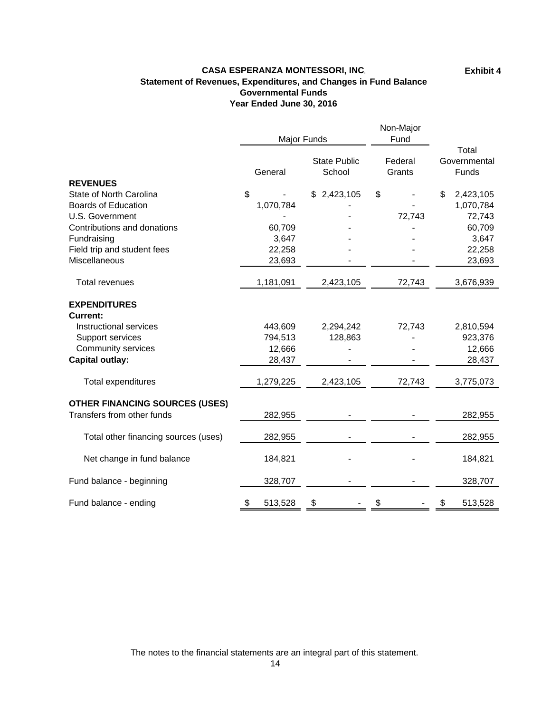# **Statement of Revenues, Expenditures, and Changes in Fund Balance Governmental Funds Year Ended June 30, 2016 CASA ESPERANZA MONTESSORI, INC.**

**Exhibit 4**

|                                                                     |               | Major Funds                   | Non-Major<br>Fund |                                |
|---------------------------------------------------------------------|---------------|-------------------------------|-------------------|--------------------------------|
|                                                                     | General       | <b>State Public</b><br>School | Federal<br>Grants | Total<br>Governmental<br>Funds |
| <b>REVENUES</b>                                                     |               |                               |                   |                                |
| State of North Carolina                                             | \$            | 2,423,105<br>\$               | \$                | \$<br>2,423,105                |
| <b>Boards of Education</b>                                          | 1,070,784     |                               |                   | 1,070,784                      |
| U.S. Government                                                     |               |                               | 72,743            | 72,743                         |
| Contributions and donations                                         | 60,709        |                               |                   | 60,709                         |
| Fundraising                                                         | 3,647         |                               |                   | 3,647                          |
| Field trip and student fees                                         | 22,258        |                               |                   | 22,258                         |
| Miscellaneous                                                       | 23,693        |                               |                   | 23,693                         |
| Total revenues                                                      | 1,181,091     | 2,423,105                     | 72,743            | 3,676,939                      |
| <b>EXPENDITURES</b>                                                 |               |                               |                   |                                |
| <b>Current:</b>                                                     |               |                               |                   |                                |
| Instructional services                                              | 443,609       | 2,294,242                     | 72,743            | 2,810,594                      |
| Support services                                                    | 794,513       | 128,863                       |                   | 923,376                        |
| Community services                                                  | 12,666        |                               |                   | 12,666                         |
| <b>Capital outlay:</b>                                              | 28,437        |                               |                   | 28,437                         |
| Total expenditures                                                  | 1,279,225     | 2,423,105                     | 72,743            | 3,775,073                      |
| <b>OTHER FINANCING SOURCES (USES)</b><br>Transfers from other funds | 282,955       |                               |                   | 282,955                        |
| Total other financing sources (uses)                                | 282,955       |                               |                   | 282,955                        |
| Net change in fund balance                                          | 184,821       |                               |                   | 184,821                        |
| Fund balance - beginning                                            | 328,707       |                               |                   | 328,707                        |
| Fund balance - ending                                               | \$<br>513,528 | \$                            | \$                | \$<br>513,528                  |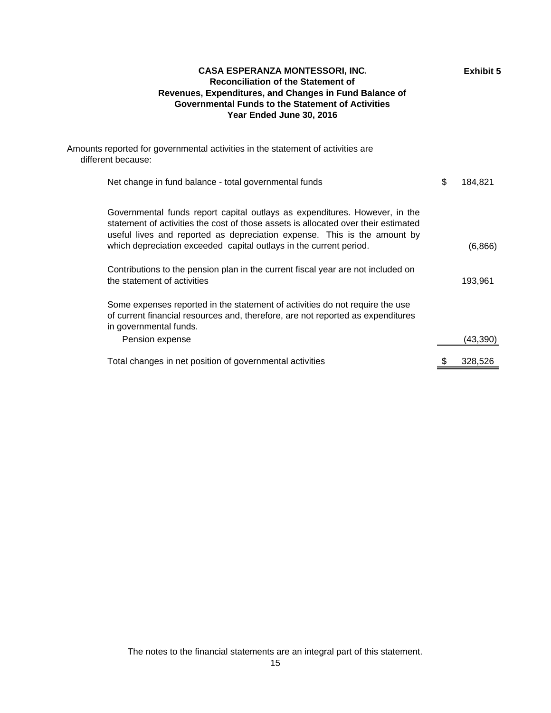| <b>CASA ESPERANZA MONTESSORI, INC.</b><br><b>Reconciliation of the Statement of</b><br>Revenues, Expenditures, and Changes in Fund Balance of<br><b>Governmental Funds to the Statement of Activities</b><br>Year Ended June 30, 2016                                                                              |    | <b>Exhibit 5</b> |
|--------------------------------------------------------------------------------------------------------------------------------------------------------------------------------------------------------------------------------------------------------------------------------------------------------------------|----|------------------|
| Amounts reported for governmental activities in the statement of activities are<br>different because:                                                                                                                                                                                                              |    |                  |
| Net change in fund balance - total governmental funds                                                                                                                                                                                                                                                              | \$ | 184,821          |
| Governmental funds report capital outlays as expenditures. However, in the<br>statement of activities the cost of those assets is allocated over their estimated<br>useful lives and reported as depreciation expense. This is the amount by<br>which depreciation exceeded capital outlays in the current period. |    | (6,866)          |
| Contributions to the pension plan in the current fiscal year are not included on<br>the statement of activities                                                                                                                                                                                                    |    | 193,961          |
| Some expenses reported in the statement of activities do not require the use<br>of current financial resources and, therefore, are not reported as expenditures<br>in governmental funds.<br>Pension expense                                                                                                       |    | (43, 390)        |
| Total changes in net position of governmental activities                                                                                                                                                                                                                                                           | P  | 328,526          |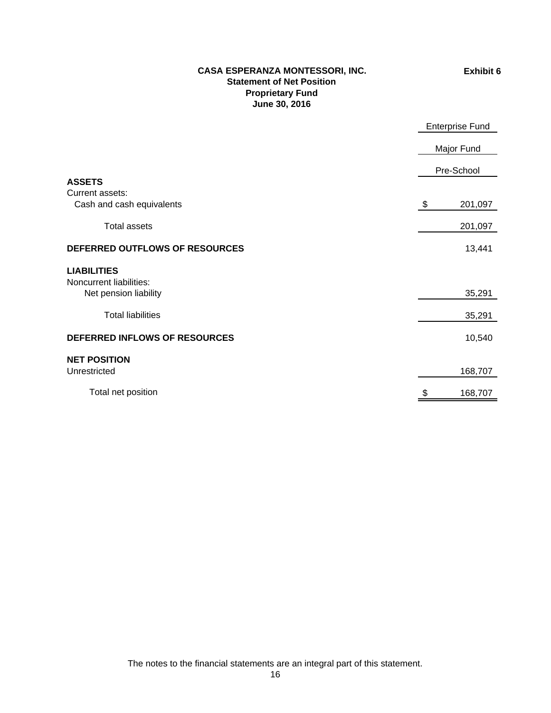# **CASA ESPERANZA MONTESSORI, INC. Statement of Net Position Proprietary Fund June 30, 2016**

**Exhibit 6**

|                                                               | <b>Enterprise Fund</b> |
|---------------------------------------------------------------|------------------------|
|                                                               | Major Fund             |
|                                                               | Pre-School             |
| <b>ASSETS</b><br>Current assets:<br>Cash and cash equivalents | \$<br>201,097          |
| <b>Total assets</b>                                           | 201,097                |
| DEFERRED OUTFLOWS OF RESOURCES                                | 13,441                 |
| <b>LIABILITIES</b>                                            |                        |
| Noncurrent liabilities:<br>Net pension liability              | 35,291                 |
| <b>Total liabilities</b>                                      | 35,291                 |
| DEFERRED INFLOWS OF RESOURCES                                 | 10,540                 |
| <b>NET POSITION</b><br>Unrestricted                           | 168,707                |
| Total net position                                            | \$<br>168,707          |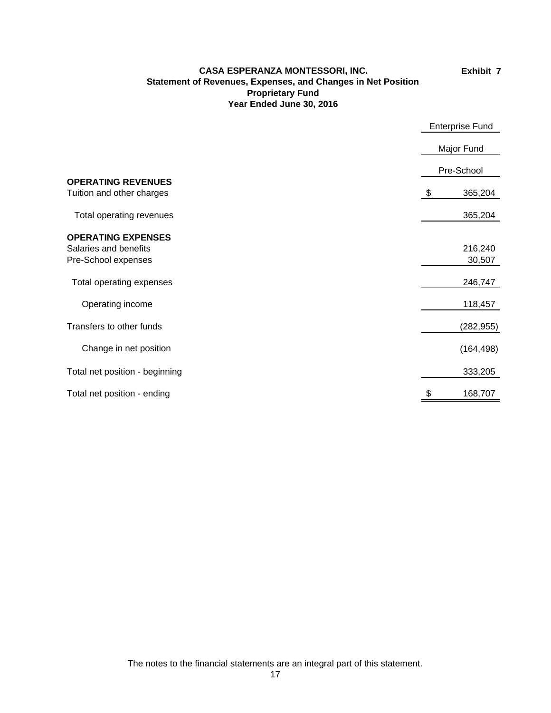# **CASA ESPERANZA MONTESSORI, INC. Statement of Revenues, Expenses, and Changes in Net Position Proprietary Fund Year Ended June 30, 2016**

**Exhibit 7**

|                                                                           | <b>Enterprise Fund</b> |
|---------------------------------------------------------------------------|------------------------|
|                                                                           | Major Fund             |
|                                                                           | Pre-School             |
| <b>OPERATING REVENUES</b><br>Tuition and other charges                    | \$<br>365,204          |
| Total operating revenues                                                  | 365,204                |
| <b>OPERATING EXPENSES</b><br>Salaries and benefits<br>Pre-School expenses | 216,240<br>30,507      |
| Total operating expenses                                                  | 246,747                |
| Operating income                                                          | 118,457                |
| Transfers to other funds                                                  | (282, 955)             |
| Change in net position                                                    | (164, 498)             |
| Total net position - beginning                                            | 333,205                |
| Total net position - ending                                               | 168,707                |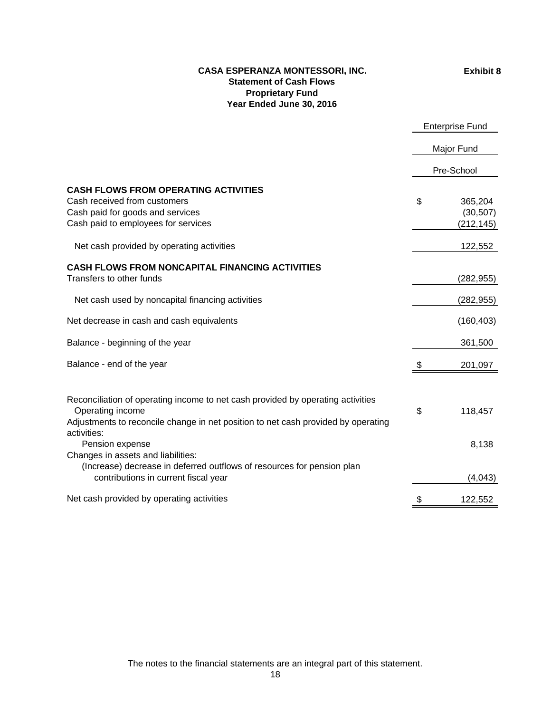# **Exhibit 8**

# **Year Ended June 30, 2016 CASA ESPERANZA MONTESSORI, INC. Statement of Cash Flows Proprietary Fund**

|                                                                                                                                                                                                         | <b>Enterprise Fund</b>                   |
|---------------------------------------------------------------------------------------------------------------------------------------------------------------------------------------------------------|------------------------------------------|
|                                                                                                                                                                                                         | Major Fund                               |
|                                                                                                                                                                                                         | Pre-School                               |
| <b>CASH FLOWS FROM OPERATING ACTIVITIES</b><br>Cash received from customers<br>Cash paid for goods and services<br>Cash paid to employees for services                                                  | \$<br>365,204<br>(30, 507)<br>(212, 145) |
| Net cash provided by operating activities                                                                                                                                                               | 122,552                                  |
| <b>CASH FLOWS FROM NONCAPITAL FINANCING ACTIVITIES</b><br>Transfers to other funds                                                                                                                      | (282, 955)                               |
| Net cash used by noncapital financing activities                                                                                                                                                        | (282, 955)                               |
| Net decrease in cash and cash equivalents                                                                                                                                                               | (160, 403)                               |
| Balance - beginning of the year                                                                                                                                                                         | 361,500                                  |
| Balance - end of the year                                                                                                                                                                               | 201,097                                  |
| Reconciliation of operating income to net cash provided by operating activities<br>Operating income<br>Adjustments to reconcile change in net position to net cash provided by operating<br>activities: | \$<br>118,457                            |
| Pension expense                                                                                                                                                                                         | 8,138                                    |
| Changes in assets and liabilities:<br>(Increase) decrease in deferred outflows of resources for pension plan<br>contributions in current fiscal year                                                    | (4,043)                                  |
| Net cash provided by operating activities                                                                                                                                                               | \$<br>122,552                            |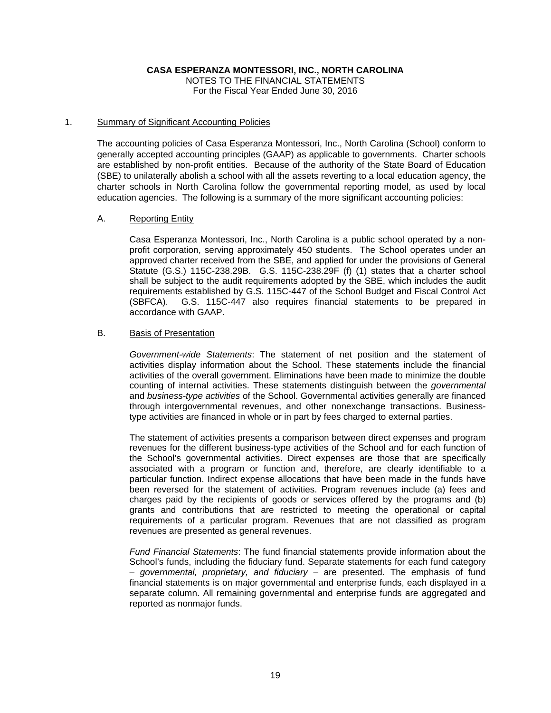NOTES TO THE FINANCIAL STATEMENTS For the Fiscal Year Ended June 30, 2016

## 1. Summary of Significant Accounting Policies

 The accounting policies of Casa Esperanza Montessori, Inc., North Carolina (School) conform to generally accepted accounting principles (GAAP) as applicable to governments. Charter schools are established by non-profit entities. Because of the authority of the State Board of Education (SBE) to unilaterally abolish a school with all the assets reverting to a local education agency, the charter schools in North Carolina follow the governmental reporting model, as used by local education agencies. The following is a summary of the more significant accounting policies:

## A. Reporting Entity

Casa Esperanza Montessori, Inc., North Carolina is a public school operated by a nonprofit corporation, serving approximately 450 students. The School operates under an approved charter received from the SBE, and applied for under the provisions of General Statute (G.S.) 115C-238.29B. G.S. 115C-238.29F (f) (1) states that a charter school shall be subject to the audit requirements adopted by the SBE, which includes the audit requirements established by G.S. 115C-447 of the School Budget and Fiscal Control Act (SBFCA). G.S. 115C-447 also requires financial statements to be prepared in accordance with GAAP.

# B. Basis of Presentation

*Government-wide Statements*: The statement of net position and the statement of activities display information about the School. These statements include the financial activities of the overall government. Eliminations have been made to minimize the double counting of internal activities. These statements distinguish between the *governmental* and *business-type activities* of the School. Governmental activities generally are financed through intergovernmental revenues, and other nonexchange transactions. Businesstype activities are financed in whole or in part by fees charged to external parties.

The statement of activities presents a comparison between direct expenses and program revenues for the different business-type activities of the School and for each function of the School's governmental activities. Direct expenses are those that are specifically associated with a program or function and, therefore, are clearly identifiable to a particular function. Indirect expense allocations that have been made in the funds have been reversed for the statement of activities. Program revenues include (a) fees and charges paid by the recipients of goods or services offered by the programs and (b) grants and contributions that are restricted to meeting the operational or capital requirements of a particular program. Revenues that are not classified as program revenues are presented as general revenues.

*Fund Financial Statements*: The fund financial statements provide information about the School's funds, including the fiduciary fund. Separate statements for each fund category – *governmental, proprietary, and fiduciary* – are presented. The emphasis of fund financial statements is on major governmental and enterprise funds, each displayed in a separate column. All remaining governmental and enterprise funds are aggregated and reported as nonmajor funds.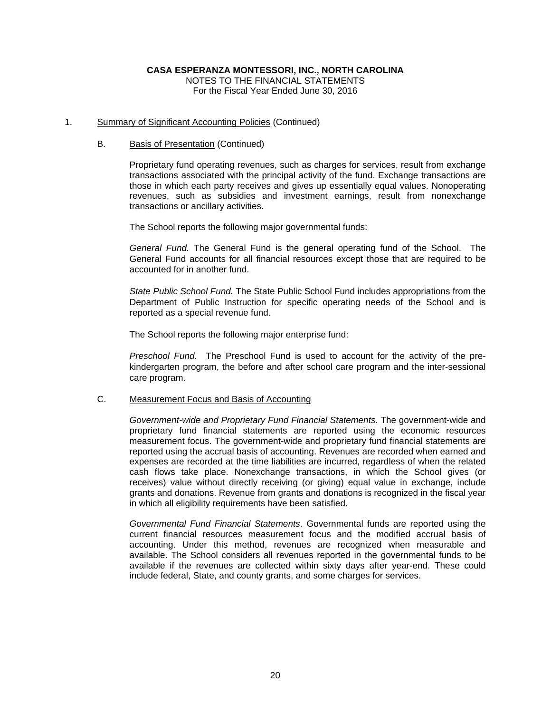NOTES TO THE FINANCIAL STATEMENTS For the Fiscal Year Ended June 30, 2016

# 1. Summary of Significant Accounting Policies (Continued)

# B. Basis of Presentation (Continued)

Proprietary fund operating revenues, such as charges for services, result from exchange transactions associated with the principal activity of the fund. Exchange transactions are those in which each party receives and gives up essentially equal values. Nonoperating revenues, such as subsidies and investment earnings, result from nonexchange transactions or ancillary activities.

The School reports the following major governmental funds:

*General Fund.* The General Fund is the general operating fund of the School. The General Fund accounts for all financial resources except those that are required to be accounted for in another fund.

*State Public School Fund.* The State Public School Fund includes appropriations from the Department of Public Instruction for specific operating needs of the School and is reported as a special revenue fund.

The School reports the following major enterprise fund:

*Preschool Fund.* The Preschool Fund is used to account for the activity of the prekindergarten program, the before and after school care program and the inter-sessional care program.

# C. Measurement Focus and Basis of Accounting

*Government-wide and Proprietary Fund Financial Statements*. The government-wide and proprietary fund financial statements are reported using the economic resources measurement focus. The government-wide and proprietary fund financial statements are reported using the accrual basis of accounting. Revenues are recorded when earned and expenses are recorded at the time liabilities are incurred, regardless of when the related cash flows take place. Nonexchange transactions, in which the School gives (or receives) value without directly receiving (or giving) equal value in exchange, include grants and donations. Revenue from grants and donations is recognized in the fiscal year in which all eligibility requirements have been satisfied.

*Governmental Fund Financial Statements*. Governmental funds are reported using the current financial resources measurement focus and the modified accrual basis of accounting. Under this method, revenues are recognized when measurable and available. The School considers all revenues reported in the governmental funds to be available if the revenues are collected within sixty days after year-end. These could include federal, State, and county grants, and some charges for services.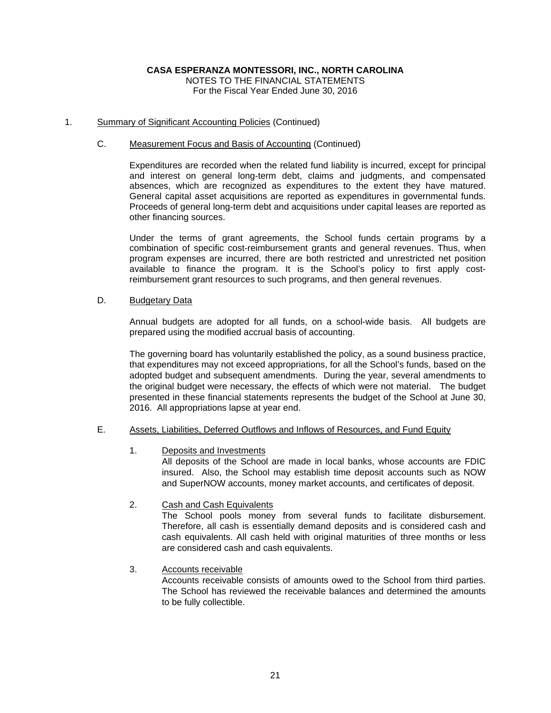## 1. Summary of Significant Accounting Policies (Continued)

## C. Measurement Focus and Basis of Accounting (Continued)

Expenditures are recorded when the related fund liability is incurred, except for principal and interest on general long-term debt, claims and judgments, and compensated absences, which are recognized as expenditures to the extent they have matured. General capital asset acquisitions are reported as expenditures in governmental funds. Proceeds of general long-term debt and acquisitions under capital leases are reported as other financing sources.

Under the terms of grant agreements, the School funds certain programs by a combination of specific cost-reimbursement grants and general revenues. Thus, when program expenses are incurred, there are both restricted and unrestricted net position available to finance the program. It is the School's policy to first apply costreimbursement grant resources to such programs, and then general revenues.

## D. Budgetary Data

Annual budgets are adopted for all funds, on a school-wide basis. All budgets are prepared using the modified accrual basis of accounting.

The governing board has voluntarily established the policy, as a sound business practice, that expenditures may not exceed appropriations, for all the School's funds, based on the adopted budget and subsequent amendments. During the year, several amendments to the original budget were necessary, the effects of which were not material. The budget presented in these financial statements represents the budget of the School at June 30, 2016. All appropriations lapse at year end.

# E. Assets, Liabilities, Deferred Outflows and Inflows of Resources, and Fund Equity

# 1. Deposits and Investments

All deposits of the School are made in local banks, whose accounts are FDIC insured. Also, the School may establish time deposit accounts such as NOW and SuperNOW accounts, money market accounts, and certificates of deposit.

# 2. Cash and Cash Equivalents

The School pools money from several funds to facilitate disbursement. Therefore, all cash is essentially demand deposits and is considered cash and cash equivalents. All cash held with original maturities of three months or less are considered cash and cash equivalents.

# 3. Accounts receivable

Accounts receivable consists of amounts owed to the School from third parties. The School has reviewed the receivable balances and determined the amounts to be fully collectible.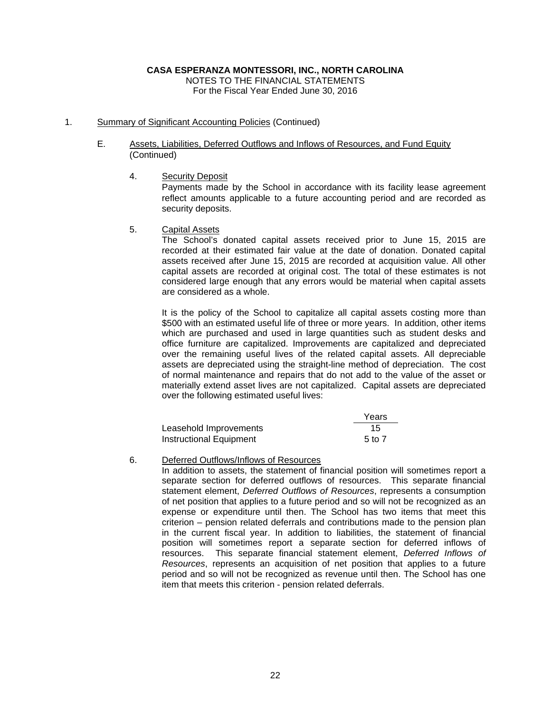# 1. Summary of Significant Accounting Policies (Continued)

- E. Assets, Liabilities, Deferred Outflows and Inflows of Resources, and Fund Equity (Continued)
	- 4. Security Deposit

Payments made by the School in accordance with its facility lease agreement reflect amounts applicable to a future accounting period and are recorded as security deposits.

5. Capital Assets

The School's donated capital assets received prior to June 15, 2015 are recorded at their estimated fair value at the date of donation. Donated capital assets received after June 15, 2015 are recorded at acquisition value. All other capital assets are recorded at original cost. The total of these estimates is not considered large enough that any errors would be material when capital assets are considered as a whole.

It is the policy of the School to capitalize all capital assets costing more than \$500 with an estimated useful life of three or more years. In addition, other items which are purchased and used in large quantities such as student desks and office furniture are capitalized. Improvements are capitalized and depreciated over the remaining useful lives of the related capital assets. All depreciable assets are depreciated using the straight-line method of depreciation. The cost of normal maintenance and repairs that do not add to the value of the asset or materially extend asset lives are not capitalized. Capital assets are depreciated over the following estimated useful lives:

|                         | Years  |
|-------------------------|--------|
| Leasehold Improvements  | 15     |
| Instructional Equipment | 5 to 7 |

# 6. Deferred Outflows/Inflows of Resources

In addition to assets, the statement of financial position will sometimes report a separate section for deferred outflows of resources. This separate financial statement element, *Deferred Outflows of Resources*, represents a consumption of net position that applies to a future period and so will not be recognized as an expense or expenditure until then. The School has two items that meet this criterion – pension related deferrals and contributions made to the pension plan in the current fiscal year. In addition to liabilities, the statement of financial position will sometimes report a separate section for deferred inflows of resources. This separate financial statement element, *Deferred Inflows of Resources*, represents an acquisition of net position that applies to a future period and so will not be recognized as revenue until then. The School has one item that meets this criterion - pension related deferrals.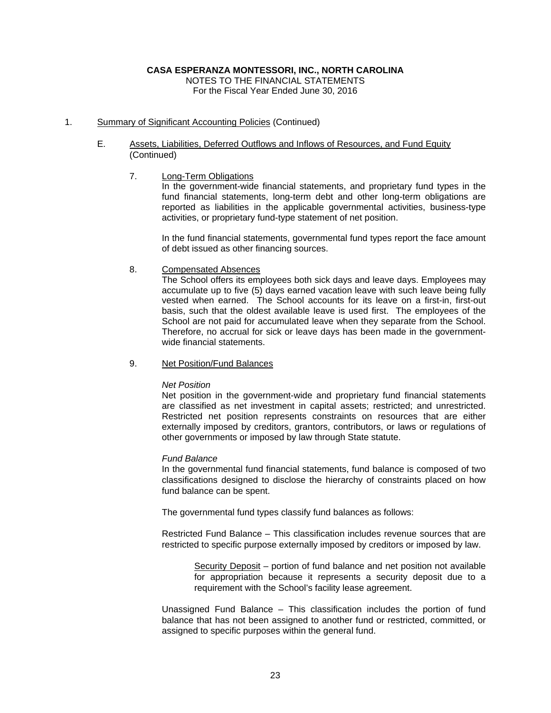NOTES TO THE FINANCIAL STATEMENTS For the Fiscal Year Ended June 30, 2016

# 1. Summary of Significant Accounting Policies (Continued)

# E. Assets, Liabilities, Deferred Outflows and Inflows of Resources, and Fund Equity (Continued)

# 7. Long-Term Obligations

In the government-wide financial statements, and proprietary fund types in the fund financial statements, long-term debt and other long-term obligations are reported as liabilities in the applicable governmental activities, business-type activities, or proprietary fund-type statement of net position.

In the fund financial statements, governmental fund types report the face amount of debt issued as other financing sources.

# 8. Compensated Absences

The School offers its employees both sick days and leave days. Employees may accumulate up to five (5) days earned vacation leave with such leave being fully vested when earned. The School accounts for its leave on a first-in, first-out basis, such that the oldest available leave is used first. The employees of the School are not paid for accumulated leave when they separate from the School. Therefore, no accrual for sick or leave days has been made in the governmentwide financial statements.

# 9. Net Position/Fund Balances

# *Net Position*

Net position in the government-wide and proprietary fund financial statements are classified as net investment in capital assets; restricted; and unrestricted. Restricted net position represents constraints on resources that are either externally imposed by creditors, grantors, contributors, or laws or regulations of other governments or imposed by law through State statute.

# *Fund Balance*

In the governmental fund financial statements, fund balance is composed of two classifications designed to disclose the hierarchy of constraints placed on how fund balance can be spent.

The governmental fund types classify fund balances as follows:

Restricted Fund Balance – This classification includes revenue sources that are restricted to specific purpose externally imposed by creditors or imposed by law.

Security Deposit – portion of fund balance and net position not available for appropriation because it represents a security deposit due to a requirement with the School's facility lease agreement.

Unassigned Fund Balance – This classification includes the portion of fund balance that has not been assigned to another fund or restricted, committed, or assigned to specific purposes within the general fund.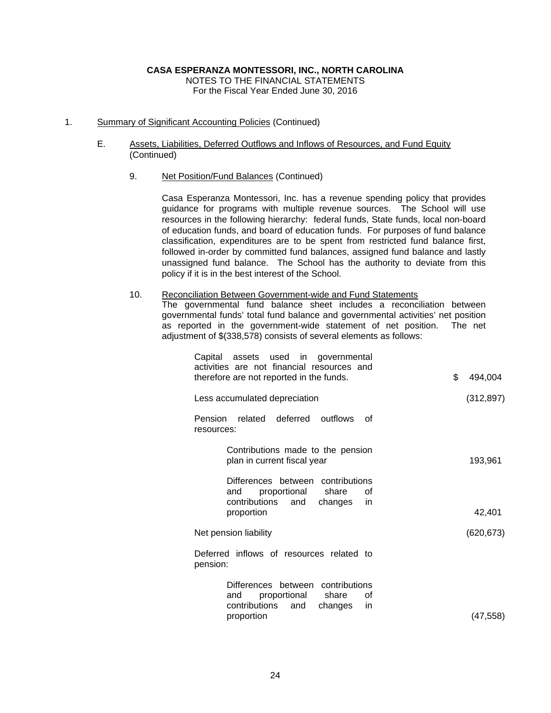# **CASA ESPERANZA MONTESSORI, INC., NORTH CAROLINA**  NOTES TO THE FINANCIAL STATEMENTS

For the Fiscal Year Ended June 30, 2016

# 1. Summary of Significant Accounting Policies (Continued)

- E. Assets, Liabilities, Deferred Outflows and Inflows of Resources, and Fund Equity (Continued)
	- 9. Net Position/Fund Balances (Continued)

Casa Esperanza Montessori, Inc. has a revenue spending policy that provides guidance for programs with multiple revenue sources. The School will use resources in the following hierarchy: federal funds, State funds, local non-board of education funds, and board of education funds. For purposes of fund balance classification, expenditures are to be spent from restricted fund balance first, followed in-order by committed fund balances, assigned fund balance and lastly unassigned fund balance. The School has the authority to deviate from this policy if it is in the best interest of the School.

# 10. Reconciliation Between Government-wide and Fund Statements

The governmental fund balance sheet includes a reconciliation between governmental funds' total fund balance and governmental activities' net position as reported in the government-wide statement of net position. The net adjustment of \$(338,578) consists of several elements as follows:

| Capital assets used in governmental<br>activities are not financial resources and<br>therefore are not reported in the funds.  | \$<br>494,004 |
|--------------------------------------------------------------------------------------------------------------------------------|---------------|
| Less accumulated depreciation                                                                                                  | (312, 897)    |
| Pension related deferred outflows<br>Ωf<br>resources:                                                                          |               |
| Contributions made to the pension<br>plan in current fiscal year                                                               | 193,961       |
| Differences between contributions<br>proportional<br>share<br>οf<br>and<br>contributions and<br>changes<br>in<br>proportion    | 42,401        |
| Net pension liability                                                                                                          | (620, 673)    |
| Deferred inflows of resources related to<br>pension:                                                                           |               |
| Differences between contributions<br>proportional<br>share<br>οf<br>and<br>contributions<br>and<br>changes<br>in<br>proportion | (47, 558)     |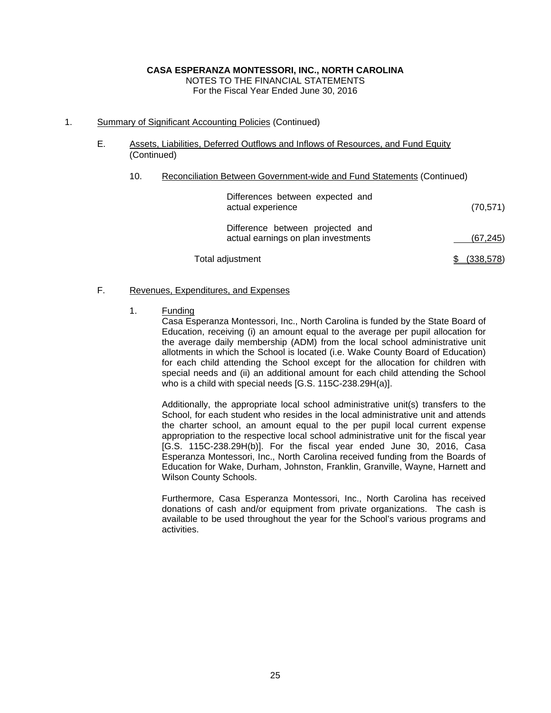# 1. Summary of Significant Accounting Policies (Continued)

E. Assets, Liabilities, Deferred Outflows and Inflows of Resources, and Fund Equity (Continued)

# 10. Reconciliation Between Government-wide and Fund Statements (Continued)

| Differences between expected and<br>actual experience                   | (70, 571) |
|-------------------------------------------------------------------------|-----------|
| Difference between projected and<br>actual earnings on plan investments | (67, 245) |
| Total adjustment                                                        | (338,578) |

# F. Revenues, Expenditures, and Expenses

# 1. Funding

Casa Esperanza Montessori, Inc., North Carolina is funded by the State Board of Education, receiving (i) an amount equal to the average per pupil allocation for the average daily membership (ADM) from the local school administrative unit allotments in which the School is located (i.e. Wake County Board of Education) for each child attending the School except for the allocation for children with special needs and (ii) an additional amount for each child attending the School who is a child with special needs [G.S. 115C-238.29H(a)].

Additionally, the appropriate local school administrative unit(s) transfers to the School, for each student who resides in the local administrative unit and attends the charter school, an amount equal to the per pupil local current expense appropriation to the respective local school administrative unit for the fiscal year [G.S. 115C-238.29H(b)]. For the fiscal year ended June 30, 2016, Casa Esperanza Montessori, Inc., North Carolina received funding from the Boards of Education for Wake, Durham, Johnston, Franklin, Granville, Wayne, Harnett and Wilson County Schools.

Furthermore, Casa Esperanza Montessori, Inc., North Carolina has received donations of cash and/or equipment from private organizations. The cash is available to be used throughout the year for the School's various programs and activities.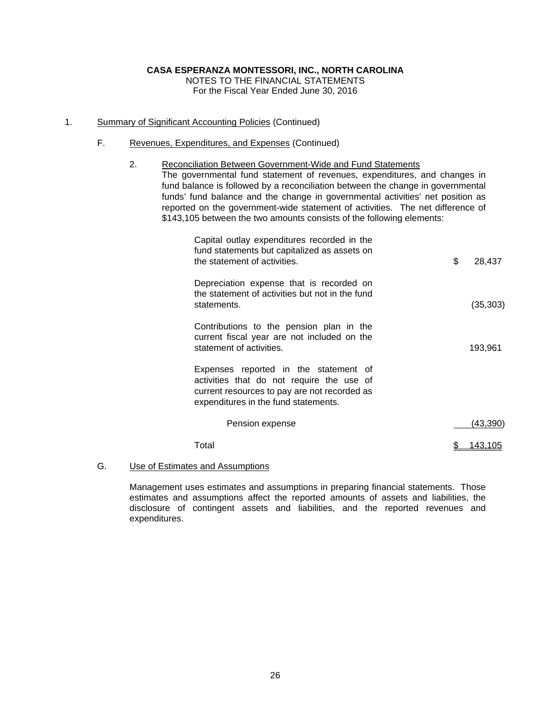NOTES TO THE FINANCIAL STATEMENTS

For the Fiscal Year Ended June 30, 2016

# 1. Summary of Significant Accounting Policies (Continued)

- F. Revenues, Expenditures, and Expenses (Continued)
	- 2. Reconciliation Between Government-Wide and Fund Statements The governmental fund statement of revenues, expenditures, and changes in fund balance is followed by a reconciliation between the change in governmental funds' fund balance and the change in governmental activities' net position as reported on the government-wide statement of activities. The net difference of \$143,105 between the two amounts consists of the following elements:

| Capital outlay expenditures recorded in the<br>fund statements but capitalized as assets on<br>the statement of activities.                                                | \$<br>28,437 |
|----------------------------------------------------------------------------------------------------------------------------------------------------------------------------|--------------|
| Depreciation expense that is recorded on<br>the statement of activities but not in the fund<br>statements.                                                                 | (35, 303)    |
| Contributions to the pension plan in the<br>current fiscal year are not included on the<br>statement of activities.                                                        | 193,961      |
| Expenses reported in the statement of<br>activities that do not require the use of<br>current resources to pay are not recorded as<br>expenditures in the fund statements. |              |
| Pension expense                                                                                                                                                            | (43,390)     |
| Total                                                                                                                                                                      | 143.1        |

# G. Use of Estimates and Assumptions

Management uses estimates and assumptions in preparing financial statements. Those estimates and assumptions affect the reported amounts of assets and liabilities, the disclosure of contingent assets and liabilities, and the reported revenues and expenditures.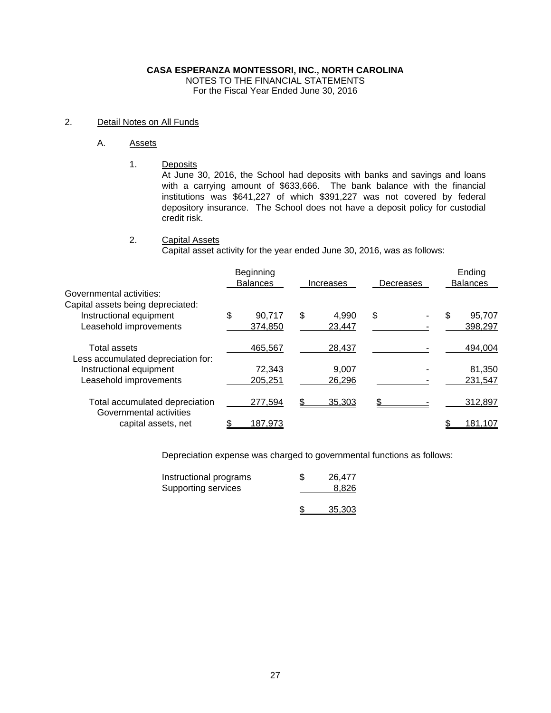NOTES TO THE FINANCIAL STATEMENTS For the Fiscal Year Ended June 30, 2016

# 2. Detail Notes on All Funds

- A. Assets
	- 1. Deposits

At June 30, 2016, the School had deposits with banks and savings and loans with a carrying amount of \$633,666. The bank balance with the financial institutions was \$641,227 of which \$391,227 was not covered by federal depository insurance. The School does not have a deposit policy for custodial credit risk.

# 2. Capital Assets

Capital asset activity for the year ended June 30, 2016, was as follows:

|                                                               | Beginning<br><b>Balances</b> | Increases   | Decreases | Ending<br><b>Balances</b> |
|---------------------------------------------------------------|------------------------------|-------------|-----------|---------------------------|
| Governmental activities:                                      |                              |             |           |                           |
| Capital assets being depreciated:                             |                              |             |           |                           |
| Instructional equipment                                       | \$<br>90.717                 | \$<br>4.990 | \$        | \$<br>95,707              |
| Leasehold improvements                                        | 374,850                      | 23,447      |           | 398,297                   |
| Total assets                                                  | 465,567                      | 28,437      |           | 494.004                   |
| Less accumulated depreciation for:<br>Instructional equipment | 72.343                       | 9.007       |           | 81,350                    |
| Leasehold improvements                                        | 205,251                      | 26,296      |           | 231,547                   |
| Total accumulated depreciation<br>Governmental activities     | 277,594                      | 35,303      |           | 312,897                   |
| capital assets, net                                           | <u> 187,973</u>              |             |           | <u>181,107</u>            |

Depreciation expense was charged to governmental functions as follows:

| Instructional programs<br>Supporting services | 26.477<br>8,826 |
|-----------------------------------------------|-----------------|
|                                               | 35.303          |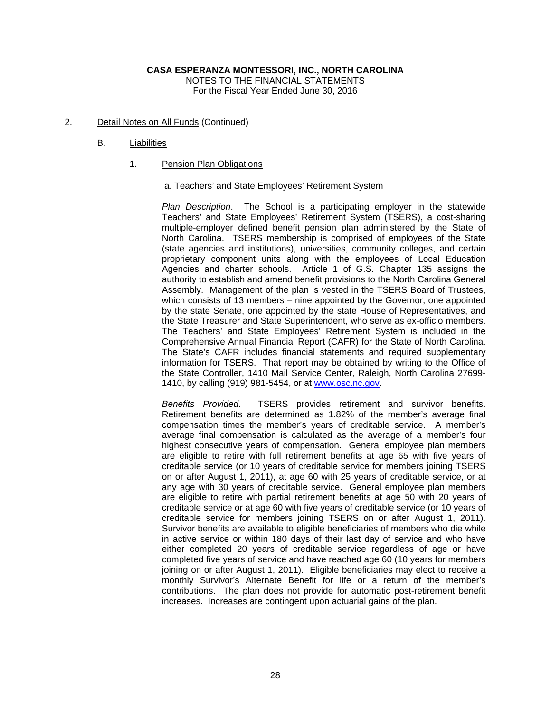NOTES TO THE FINANCIAL STATEMENTS For the Fiscal Year Ended June 30, 2016

- 2. Detail Notes on All Funds (Continued)
	- B. Liabilities
		- 1. Pension Plan Obligations

# a. Teachers' and State Employees' Retirement System

*Plan Description*. The School is a participating employer in the statewide Teachers' and State Employees' Retirement System (TSERS), a cost-sharing multiple-employer defined benefit pension plan administered by the State of North Carolina. TSERS membership is comprised of employees of the State (state agencies and institutions), universities, community colleges, and certain proprietary component units along with the employees of Local Education Agencies and charter schools. Article 1 of G.S. Chapter 135 assigns the authority to establish and amend benefit provisions to the North Carolina General Assembly. Management of the plan is vested in the TSERS Board of Trustees, which consists of 13 members – nine appointed by the Governor, one appointed by the state Senate, one appointed by the state House of Representatives, and the State Treasurer and State Superintendent, who serve as ex-officio members. The Teachers' and State Employees' Retirement System is included in the Comprehensive Annual Financial Report (CAFR) for the State of North Carolina. The State's CAFR includes financial statements and required supplementary information for TSERS. That report may be obtained by writing to the Office of the State Controller, 1410 Mail Service Center, Raleigh, North Carolina 27699- 1410, by calling (919) 981-5454, or at www.osc.nc.gov.

*Benefits Provided*. TSERS provides retirement and survivor benefits. Retirement benefits are determined as 1.82% of the member's average final compensation times the member's years of creditable service. A member's average final compensation is calculated as the average of a member's four highest consecutive years of compensation. General employee plan members are eligible to retire with full retirement benefits at age 65 with five years of creditable service (or 10 years of creditable service for members joining TSERS on or after August 1, 2011), at age 60 with 25 years of creditable service, or at any age with 30 years of creditable service. General employee plan members are eligible to retire with partial retirement benefits at age 50 with 20 years of creditable service or at age 60 with five years of creditable service (or 10 years of creditable service for members joining TSERS on or after August 1, 2011). Survivor benefits are available to eligible beneficiaries of members who die while in active service or within 180 days of their last day of service and who have either completed 20 years of creditable service regardless of age or have completed five years of service and have reached age 60 (10 years for members joining on or after August 1, 2011). Eligible beneficiaries may elect to receive a monthly Survivor's Alternate Benefit for life or a return of the member's contributions. The plan does not provide for automatic post-retirement benefit increases. Increases are contingent upon actuarial gains of the plan.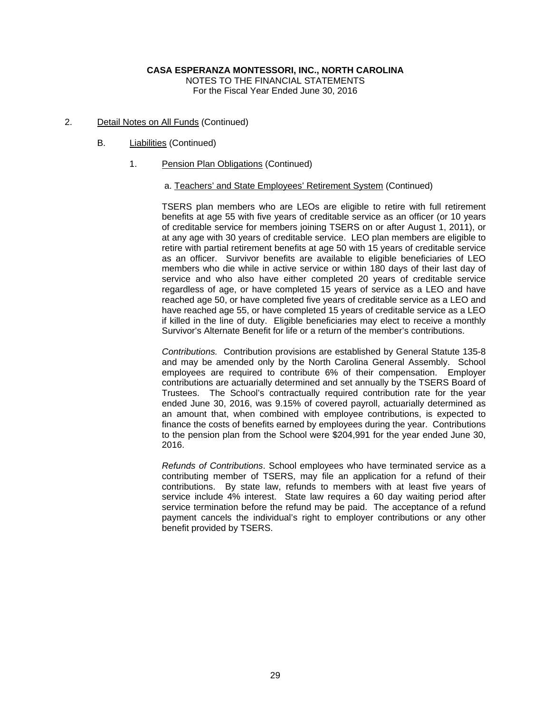**CASA ESPERANZA MONTESSORI, INC., NORTH CAROLINA**  NOTES TO THE FINANCIAL STATEMENTS

For the Fiscal Year Ended June 30, 2016

- 2. Detail Notes on All Funds (Continued)
	- B. Liabilities (Continued)
		- 1. Pension Plan Obligations (Continued)

# a. Teachers' and State Employees' Retirement System (Continued)

TSERS plan members who are LEOs are eligible to retire with full retirement benefits at age 55 with five years of creditable service as an officer (or 10 years of creditable service for members joining TSERS on or after August 1, 2011), or at any age with 30 years of creditable service. LEO plan members are eligible to retire with partial retirement benefits at age 50 with 15 years of creditable service as an officer. Survivor benefits are available to eligible beneficiaries of LEO members who die while in active service or within 180 days of their last day of service and who also have either completed 20 years of creditable service regardless of age, or have completed 15 years of service as a LEO and have reached age 50, or have completed five years of creditable service as a LEO and have reached age 55, or have completed 15 years of creditable service as a LEO if killed in the line of duty. Eligible beneficiaries may elect to receive a monthly Survivor's Alternate Benefit for life or a return of the member's contributions.

*Contributions.* Contribution provisions are established by General Statute 135-8 and may be amended only by the North Carolina General Assembly. School employees are required to contribute 6% of their compensation. Employer contributions are actuarially determined and set annually by the TSERS Board of Trustees. The School's contractually required contribution rate for the year ended June 30, 2016, was 9.15% of covered payroll, actuarially determined as an amount that, when combined with employee contributions, is expected to finance the costs of benefits earned by employees during the year. Contributions to the pension plan from the School were \$204,991 for the year ended June 30, 2016.

*Refunds of Contributions*. School employees who have terminated service as a contributing member of TSERS, may file an application for a refund of their contributions. By state law, refunds to members with at least five years of service include 4% interest. State law requires a 60 day waiting period after service termination before the refund may be paid. The acceptance of a refund payment cancels the individual's right to employer contributions or any other benefit provided by TSERS.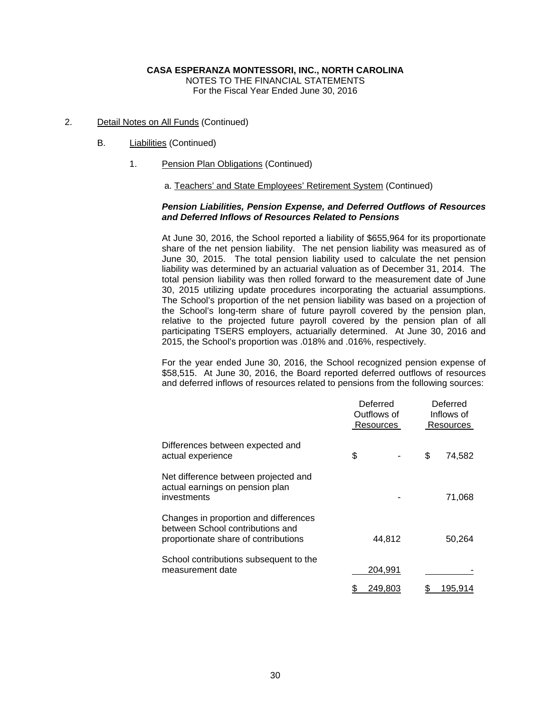NOTES TO THE FINANCIAL STATEMENTS For the Fiscal Year Ended June 30, 2016

- 2. Detail Notes on All Funds (Continued)
	- B. Liabilities (Continued)
		- 1. Pension Plan Obligations (Continued)

# a. Teachers' and State Employees' Retirement System (Continued)

## *Pension Liabilities, Pension Expense, and Deferred Outflows of Resources and Deferred Inflows of Resources Related to Pensions*

At June 30, 2016, the School reported a liability of \$655,964 for its proportionate share of the net pension liability. The net pension liability was measured as of June 30, 2015. The total pension liability used to calculate the net pension liability was determined by an actuarial valuation as of December 31, 2014. The total pension liability was then rolled forward to the measurement date of June 30, 2015 utilizing update procedures incorporating the actuarial assumptions. The School's proportion of the net pension liability was based on a projection of the School's long-term share of future payroll covered by the pension plan, relative to the projected future payroll covered by the pension plan of all participating TSERS employers, actuarially determined. At June 30, 2016 and 2015, the School's proportion was .018% and .016%, respectively.

For the year ended June 30, 2016, the School recognized pension expense of \$58,515. At June 30, 2016, the Board reported deferred outflows of resources and deferred inflows of resources related to pensions from the following sources:

|                                                                                                                   | Deferred<br>Outflows of<br>Resources |         | Deferred<br>Resources |         |  | Inflows of |
|-------------------------------------------------------------------------------------------------------------------|--------------------------------------|---------|-----------------------|---------|--|------------|
| Differences between expected and<br>actual experience                                                             | \$                                   |         | \$                    | 74,582  |  |            |
| Net difference between projected and<br>actual earnings on pension plan<br>investments                            |                                      |         |                       | 71,068  |  |            |
| Changes in proportion and differences<br>between School contributions and<br>proportionate share of contributions |                                      | 44,812  |                       | 50,264  |  |            |
| School contributions subsequent to the<br>measurement date                                                        |                                      | 204,991 |                       |         |  |            |
|                                                                                                                   | \$                                   | 249.803 |                       | 195.914 |  |            |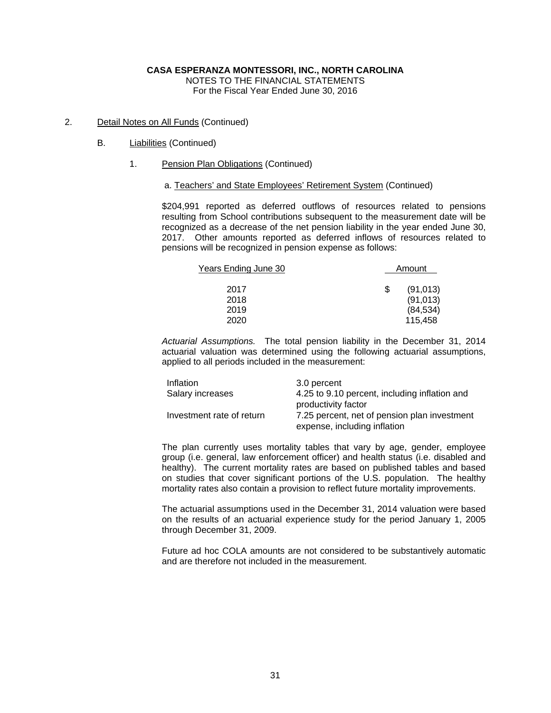NOTES TO THE FINANCIAL STATEMENTS

For the Fiscal Year Ended June 30, 2016

- 2. Detail Notes on All Funds (Continued)
	- B. Liabilities (Continued)
		- 1. Pension Plan Obligations (Continued)

# a. Teachers' and State Employees' Retirement System (Continued)

\$204,991 reported as deferred outflows of resources related to pensions resulting from School contributions subsequent to the measurement date will be recognized as a decrease of the net pension liability in the year ended June 30, 2017. Other amounts reported as deferred inflows of resources related to pensions will be recognized in pension expense as follows:

| Years Ending June 30 | Amount |           |
|----------------------|--------|-----------|
| 2017                 | S      | (91, 013) |
| 2018                 |        | (91, 013) |
| 2019                 |        | (84, 534) |
| 2020                 |        | 115,458   |

*Actuarial Assumptions.* The total pension liability in the December 31, 2014 actuarial valuation was determined using the following actuarial assumptions, applied to all periods included in the measurement:

| Inflation                 | 3.0 percent                                   |
|---------------------------|-----------------------------------------------|
| Salary increases          | 4.25 to 9.10 percent, including inflation and |
|                           | productivity factor                           |
| Investment rate of return | 7.25 percent, net of pension plan investment  |
|                           | expense, including inflation                  |

The plan currently uses mortality tables that vary by age, gender, employee group (i.e. general, law enforcement officer) and health status (i.e. disabled and healthy). The current mortality rates are based on published tables and based on studies that cover significant portions of the U.S. population. The healthy mortality rates also contain a provision to reflect future mortality improvements.

The actuarial assumptions used in the December 31, 2014 valuation were based on the results of an actuarial experience study for the period January 1, 2005 through December 31, 2009.

Future ad hoc COLA amounts are not considered to be substantively automatic and are therefore not included in the measurement.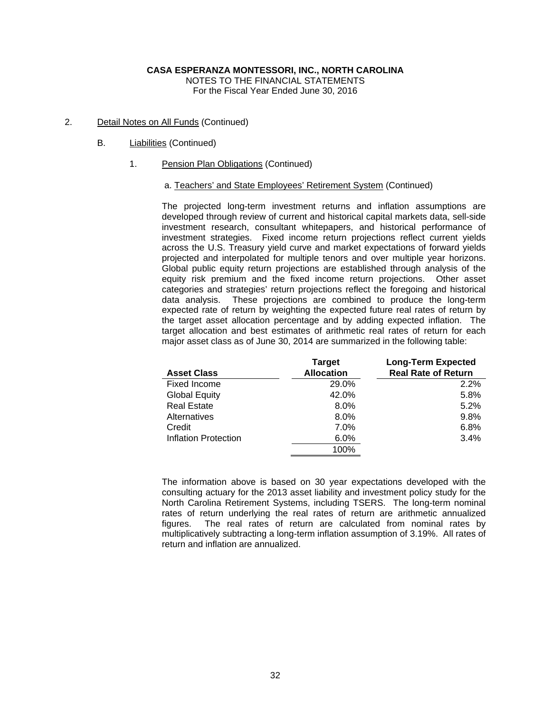**CASA ESPERANZA MONTESSORI, INC., NORTH CAROLINA**  NOTES TO THE FINANCIAL STATEMENTS

For the Fiscal Year Ended June 30, 2016

- 2. Detail Notes on All Funds (Continued)
	- B. Liabilities (Continued)
		- 1. Pension Plan Obligations (Continued)

# a. Teachers' and State Employees' Retirement System (Continued)

The projected long-term investment returns and inflation assumptions are developed through review of current and historical capital markets data, sell-side investment research, consultant whitepapers, and historical performance of investment strategies. Fixed income return projections reflect current yields across the U.S. Treasury yield curve and market expectations of forward yields projected and interpolated for multiple tenors and over multiple year horizons. Global public equity return projections are established through analysis of the equity risk premium and the fixed income return projections. Other asset categories and strategies' return projections reflect the foregoing and historical data analysis. These projections are combined to produce the long-term expected rate of return by weighting the expected future real rates of return by the target asset allocation percentage and by adding expected inflation. The target allocation and best estimates of arithmetic real rates of return for each major asset class as of June 30, 2014 are summarized in the following table:

|                             | <b>Target</b>     | <b>Long-Term Expected</b>  |
|-----------------------------|-------------------|----------------------------|
| <b>Asset Class</b>          | <b>Allocation</b> | <b>Real Rate of Return</b> |
| Fixed Income                | 29.0%             | 2.2%                       |
| <b>Global Equity</b>        | 42.0%             | 5.8%                       |
| <b>Real Estate</b>          | $8.0\%$           | 5.2%                       |
| Alternatives                | 8.0%              | 9.8%                       |
| Credit                      | 7.0%              | 6.8%                       |
| <b>Inflation Protection</b> | 6.0%              | 3.4%                       |
|                             | 100%              |                            |

The information above is based on 30 year expectations developed with the consulting actuary for the 2013 asset liability and investment policy study for the North Carolina Retirement Systems, including TSERS. The long-term nominal rates of return underlying the real rates of return are arithmetic annualized figures. The real rates of return are calculated from nominal rates by multiplicatively subtracting a long-term inflation assumption of 3.19%. All rates of return and inflation are annualized.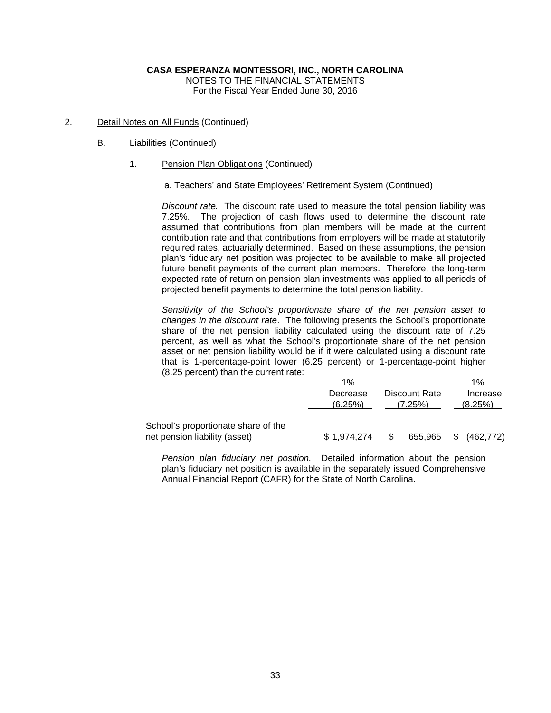**CASA ESPERANZA MONTESSORI, INC., NORTH CAROLINA**  NOTES TO THE FINANCIAL STATEMENTS

For the Fiscal Year Ended June 30, 2016

- 2. Detail Notes on All Funds (Continued)
	- B. Liabilities (Continued)
		- 1. Pension Plan Obligations (Continued)

# a. Teachers' and State Employees' Retirement System (Continued)

*Discount rate.* The discount rate used to measure the total pension liability was 7.25%. The projection of cash flows used to determine the discount rate assumed that contributions from plan members will be made at the current contribution rate and that contributions from employers will be made at statutorily required rates, actuarially determined. Based on these assumptions, the pension plan's fiduciary net position was projected to be available to make all projected future benefit payments of the current plan members. Therefore, the long-term expected rate of return on pension plan investments was applied to all periods of projected benefit payments to determine the total pension liability.

*Sensitivity of the School's proportionate share of the net pension asset to changes in the discount rate*. The following presents the School's proportionate share of the net pension liability calculated using the discount rate of 7.25 percent, as well as what the School's proportionate share of the net pension asset or net pension liability would be if it were calculated using a discount rate that is 1-percentage-point lower (6.25 percent) or 1-percentage-point higher (8.25 percent) than the current rate:

|                                                                      | $1\%$               |                          | $1\%$               |
|----------------------------------------------------------------------|---------------------|--------------------------|---------------------|
|                                                                      | Decrease<br>(6.25%) | Discount Rate<br>(7.25%) | Increase<br>(8.25%) |
| School's proportionate share of the<br>net pension liability (asset) | \$1.974.274         | \$<br>655,965            | - \$<br>(462, 772)  |

*Pension plan fiduciary net position.* Detailed information about the pension plan's fiduciary net position is available in the separately issued Comprehensive Annual Financial Report (CAFR) for the State of North Carolina.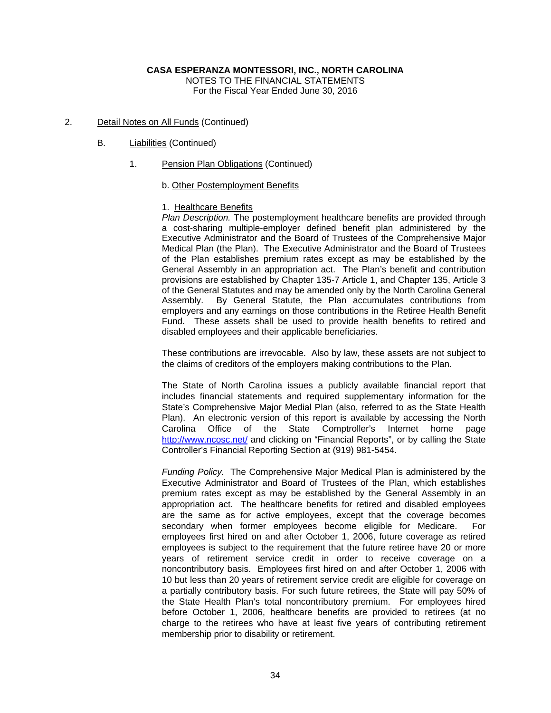NOTES TO THE FINANCIAL STATEMENTS For the Fiscal Year Ended June 30, 2016

- 2. Detail Notes on All Funds (Continued)
	- B. Liabilities (Continued)
		- 1. Pension Plan Obligations (Continued)
			- b. Other Postemployment Benefits

## 1. Healthcare Benefits

*Plan Description.* The postemployment healthcare benefits are provided through a cost-sharing multiple-employer defined benefit plan administered by the Executive Administrator and the Board of Trustees of the Comprehensive Major Medical Plan (the Plan). The Executive Administrator and the Board of Trustees of the Plan establishes premium rates except as may be established by the General Assembly in an appropriation act. The Plan's benefit and contribution provisions are established by Chapter 135-7 Article 1, and Chapter 135, Article 3 of the General Statutes and may be amended only by the North Carolina General Assembly. By General Statute, the Plan accumulates contributions from employers and any earnings on those contributions in the Retiree Health Benefit Fund. These assets shall be used to provide health benefits to retired and disabled employees and their applicable beneficiaries.

These contributions are irrevocable. Also by law, these assets are not subject to the claims of creditors of the employers making contributions to the Plan.

The State of North Carolina issues a publicly available financial report that includes financial statements and required supplementary information for the State's Comprehensive Major Medial Plan (also, referred to as the State Health Plan). An electronic version of this report is available by accessing the North Carolina Office of the State Comptroller's Internet home page http://www.ncosc.net/ and clicking on "Financial Reports", or by calling the State Controller's Financial Reporting Section at (919) 981-5454.

*Funding Policy.* The Comprehensive Major Medical Plan is administered by the Executive Administrator and Board of Trustees of the Plan, which establishes premium rates except as may be established by the General Assembly in an appropriation act. The healthcare benefits for retired and disabled employees are the same as for active employees, except that the coverage becomes secondary when former employees become eligible for Medicare. For employees first hired on and after October 1, 2006, future coverage as retired employees is subject to the requirement that the future retiree have 20 or more years of retirement service credit in order to receive coverage on a noncontributory basis. Employees first hired on and after October 1, 2006 with 10 but less than 20 years of retirement service credit are eligible for coverage on a partially contributory basis. For such future retirees, the State will pay 50% of the State Health Plan's total noncontributory premium. For employees hired before October 1, 2006, healthcare benefits are provided to retirees (at no charge to the retirees who have at least five years of contributing retirement membership prior to disability or retirement.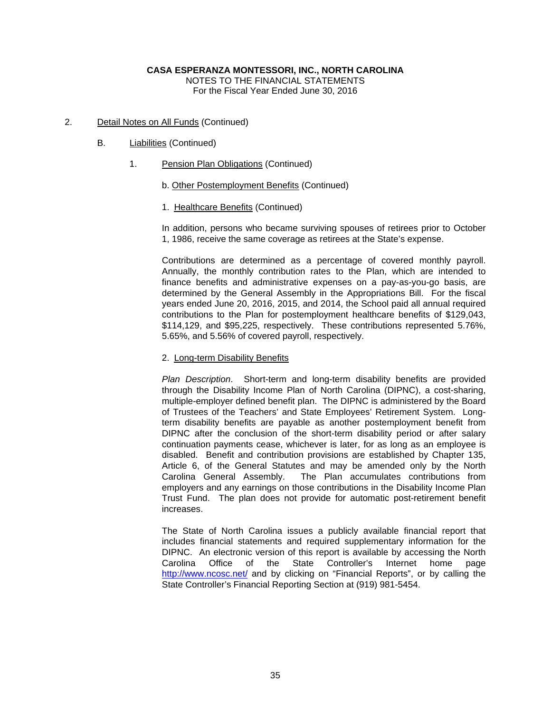- 2. Detail Notes on All Funds (Continued)
	- B. Liabilities (Continued)
		- 1. Pension Plan Obligations (Continued)
			- b. Other Postemployment Benefits (Continued)
			- 1. Healthcare Benefits (Continued)

In addition, persons who became surviving spouses of retirees prior to October 1, 1986, receive the same coverage as retirees at the State's expense.

Contributions are determined as a percentage of covered monthly payroll. Annually, the monthly contribution rates to the Plan, which are intended to finance benefits and administrative expenses on a pay-as-you-go basis, are determined by the General Assembly in the Appropriations Bill. For the fiscal years ended June 20, 2016, 2015, and 2014, the School paid all annual required contributions to the Plan for postemployment healthcare benefits of \$129,043, \$114,129, and \$95,225, respectively. These contributions represented 5.76%, 5.65%, and 5.56% of covered payroll, respectively.

## 2. Long-term Disability Benefits

*Plan Description*. Short-term and long-term disability benefits are provided through the Disability Income Plan of North Carolina (DIPNC), a cost-sharing, multiple-employer defined benefit plan. The DIPNC is administered by the Board of Trustees of the Teachers' and State Employees' Retirement System. Longterm disability benefits are payable as another postemployment benefit from DIPNC after the conclusion of the short-term disability period or after salary continuation payments cease, whichever is later, for as long as an employee is disabled. Benefit and contribution provisions are established by Chapter 135, Article 6, of the General Statutes and may be amended only by the North Carolina General Assembly. The Plan accumulates contributions from employers and any earnings on those contributions in the Disability Income Plan Trust Fund. The plan does not provide for automatic post-retirement benefit increases.

The State of North Carolina issues a publicly available financial report that includes financial statements and required supplementary information for the DIPNC. An electronic version of this report is available by accessing the North Carolina Office of the State Controller's Internet home page http://www.ncosc.net/ and by clicking on "Financial Reports", or by calling the State Controller's Financial Reporting Section at (919) 981-5454.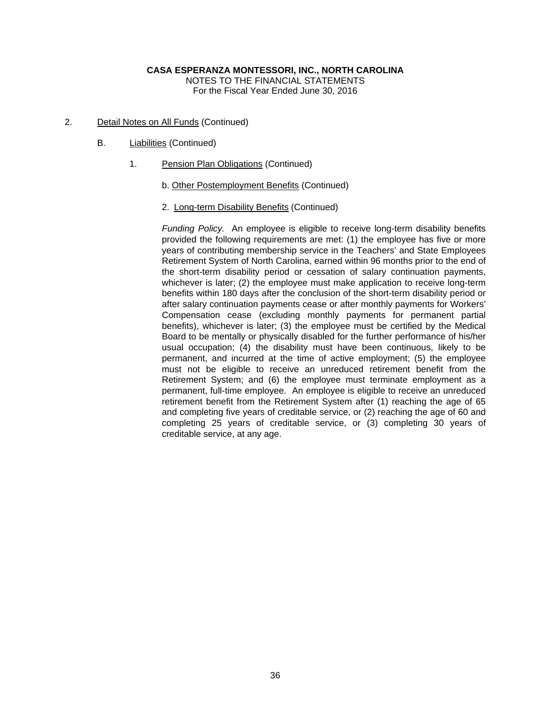- 2. Detail Notes on All Funds (Continued)
	- B. Liabilities (Continued)
		- 1. Pension Plan Obligations (Continued)
			- b. Other Postemployment Benefits (Continued)
			- 2. Long-term Disability Benefits (Continued)

*Funding Policy.* An employee is eligible to receive long-term disability benefits provided the following requirements are met: (1) the employee has five or more years of contributing membership service in the Teachers' and State Employees Retirement System of North Carolina, earned within 96 months prior to the end of the short-term disability period or cessation of salary continuation payments, whichever is later; (2) the employee must make application to receive long-term benefits within 180 days after the conclusion of the short-term disability period or after salary continuation payments cease or after monthly payments for Workers' Compensation cease (excluding monthly payments for permanent partial benefits), whichever is later; (3) the employee must be certified by the Medical Board to be mentally or physically disabled for the further performance of his/her usual occupation; (4) the disability must have been continuous, likely to be permanent, and incurred at the time of active employment; (5) the employee must not be eligible to receive an unreduced retirement benefit from the Retirement System; and (6) the employee must terminate employment as a permanent, full-time employee. An employee is eligible to receive an unreduced retirement benefit from the Retirement System after (1) reaching the age of 65 and completing five years of creditable service, or (2) reaching the age of 60 and completing 25 years of creditable service, or (3) completing 30 years of creditable service, at any age.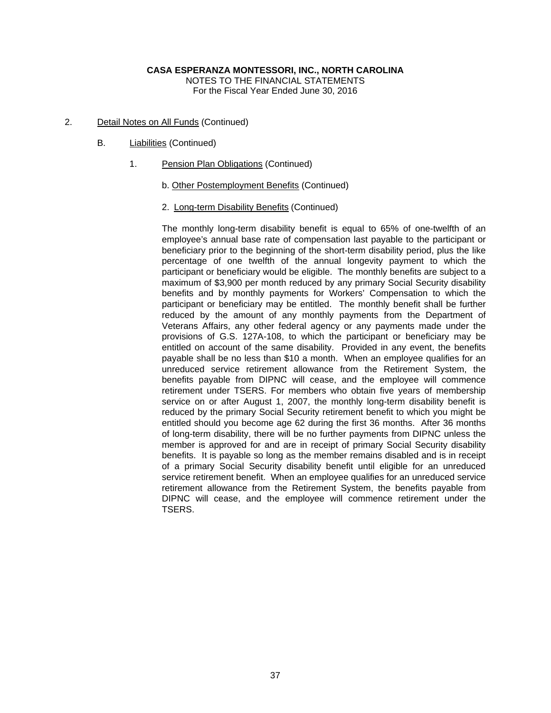- 2. Detail Notes on All Funds (Continued)
	- B. Liabilities (Continued)
		- 1. Pension Plan Obligations (Continued)
			- b. Other Postemployment Benefits (Continued)
			- 2. Long-term Disability Benefits (Continued)

The monthly long-term disability benefit is equal to 65% of one-twelfth of an employee's annual base rate of compensation last payable to the participant or beneficiary prior to the beginning of the short-term disability period, plus the like percentage of one twelfth of the annual longevity payment to which the participant or beneficiary would be eligible. The monthly benefits are subject to a maximum of \$3,900 per month reduced by any primary Social Security disability benefits and by monthly payments for Workers' Compensation to which the participant or beneficiary may be entitled. The monthly benefit shall be further reduced by the amount of any monthly payments from the Department of Veterans Affairs, any other federal agency or any payments made under the provisions of G.S. 127A-108, to which the participant or beneficiary may be entitled on account of the same disability. Provided in any event, the benefits payable shall be no less than \$10 a month. When an employee qualifies for an unreduced service retirement allowance from the Retirement System, the benefits payable from DIPNC will cease, and the employee will commence retirement under TSERS. For members who obtain five years of membership service on or after August 1, 2007, the monthly long-term disability benefit is reduced by the primary Social Security retirement benefit to which you might be entitled should you become age 62 during the first 36 months. After 36 months of long-term disability, there will be no further payments from DIPNC unless the member is approved for and are in receipt of primary Social Security disability benefits. It is payable so long as the member remains disabled and is in receipt of a primary Social Security disability benefit until eligible for an unreduced service retirement benefit. When an employee qualifies for an unreduced service retirement allowance from the Retirement System, the benefits payable from DIPNC will cease, and the employee will commence retirement under the TSERS.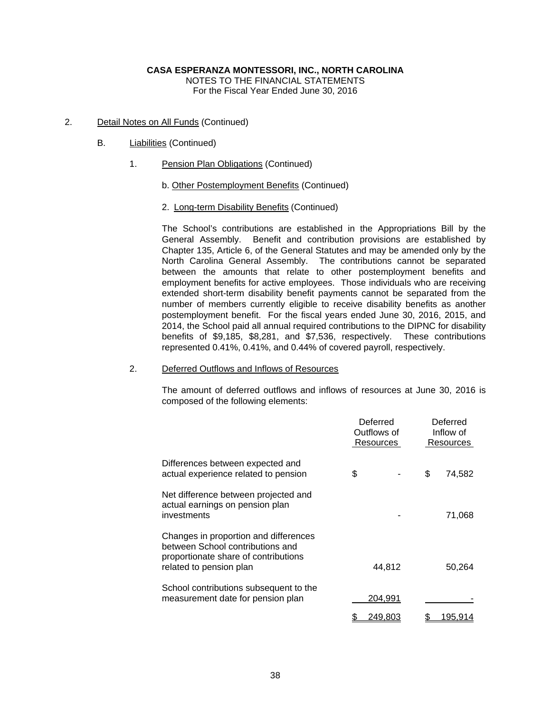- 2. Detail Notes on All Funds (Continued)
	- B. Liabilities (Continued)
		- 1. Pension Plan Obligations (Continued)
			- b. Other Postemployment Benefits (Continued)
			- 2. Long-term Disability Benefits (Continued)

The School's contributions are established in the Appropriations Bill by the General Assembly. Benefit and contribution provisions are established by Chapter 135, Article 6, of the General Statutes and may be amended only by the North Carolina General Assembly. The contributions cannot be separated between the amounts that relate to other postemployment benefits and employment benefits for active employees. Those individuals who are receiving extended short-term disability benefit payments cannot be separated from the number of members currently eligible to receive disability benefits as another postemployment benefit. For the fiscal years ended June 30, 2016, 2015, and 2014, the School paid all annual required contributions to the DIPNC for disability benefits of \$9,185, \$8,281, and \$7,536, respectively. These contributions represented 0.41%, 0.41%, and 0.44% of covered payroll, respectively.

# 2. Deferred Outflows and Inflows of Resources

The amount of deferred outflows and inflows of resources at June 30, 2016 is composed of the following elements:

|                                                                                                                                              | Deferred<br>Outflows of<br>Resources |         |    |         | Deferred<br>Inflow of<br>Resources |  |
|----------------------------------------------------------------------------------------------------------------------------------------------|--------------------------------------|---------|----|---------|------------------------------------|--|
| Differences between expected and<br>actual experience related to pension                                                                     | \$                                   |         | \$ | 74.582  |                                    |  |
| Net difference between projected and<br>actual earnings on pension plan<br>investments                                                       |                                      |         |    | 71,068  |                                    |  |
| Changes in proportion and differences<br>between School contributions and<br>proportionate share of contributions<br>related to pension plan |                                      | 44,812  |    | 50,264  |                                    |  |
| School contributions subsequent to the<br>measurement date for pension plan                                                                  |                                      | 204.991 |    |         |                                    |  |
|                                                                                                                                              |                                      | 249.803 |    | 195.914 |                                    |  |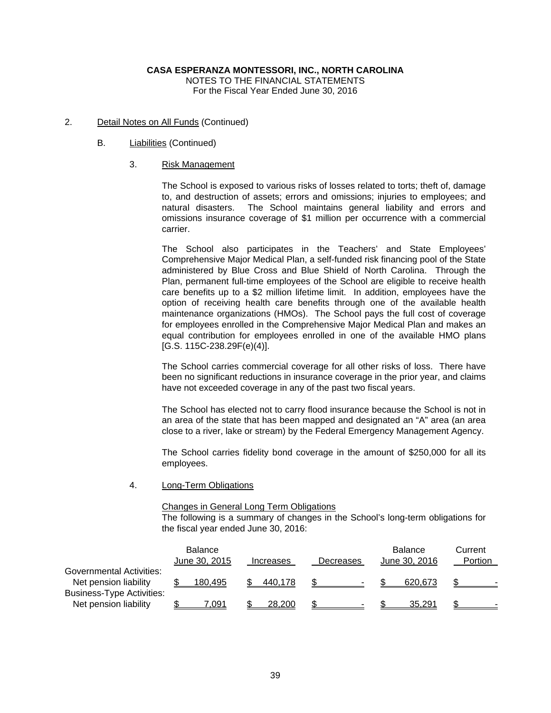**CASA ESPERANZA MONTESSORI, INC., NORTH CAROLINA**  NOTES TO THE FINANCIAL STATEMENTS

For the Fiscal Year Ended June 30, 2016

- 2. Detail Notes on All Funds (Continued)
	- B. Liabilities (Continued)
		- 3. Risk Management

The School is exposed to various risks of losses related to torts; theft of, damage to, and destruction of assets; errors and omissions; injuries to employees; and natural disasters. The School maintains general liability and errors and omissions insurance coverage of \$1 million per occurrence with a commercial carrier.

The School also participates in the Teachers' and State Employees' Comprehensive Major Medical Plan, a self-funded risk financing pool of the State administered by Blue Cross and Blue Shield of North Carolina. Through the Plan, permanent full-time employees of the School are eligible to receive health care benefits up to a \$2 million lifetime limit. In addition, employees have the option of receiving health care benefits through one of the available health maintenance organizations (HMOs). The School pays the full cost of coverage for employees enrolled in the Comprehensive Major Medical Plan and makes an equal contribution for employees enrolled in one of the available HMO plans [G.S. 115C-238.29F(e)(4)].

The School carries commercial coverage for all other risks of loss. There have been no significant reductions in insurance coverage in the prior year, and claims have not exceeded coverage in any of the past two fiscal years.

The School has elected not to carry flood insurance because the School is not in an area of the state that has been mapped and designated an "A" area (an area close to a river, lake or stream) by the Federal Emergency Management Agency.

The School carries fidelity bond coverage in the amount of \$250,000 for all its employees.

# 4. Long-Term Obligations

## Changes in General Long Term Obligations

The following is a summary of changes in the School's long-term obligations for the fiscal year ended June 30, 2016:

|                                  | <b>Balance</b> |           |           | <b>Balance</b> | Current |
|----------------------------------|----------------|-----------|-----------|----------------|---------|
|                                  | June 30, 2015  | Increases | Decreases | June 30, 2016  | Portion |
| <b>Governmental Activities:</b>  |                |           |           |                |         |
| Net pension liability            | <u>180,495</u> | 440.178   | ۰         | 620.673        |         |
| <b>Business-Type Activities:</b> |                |           |           |                |         |
| Net pension liability            | 7.091          | 28.200    |           | 35.291         |         |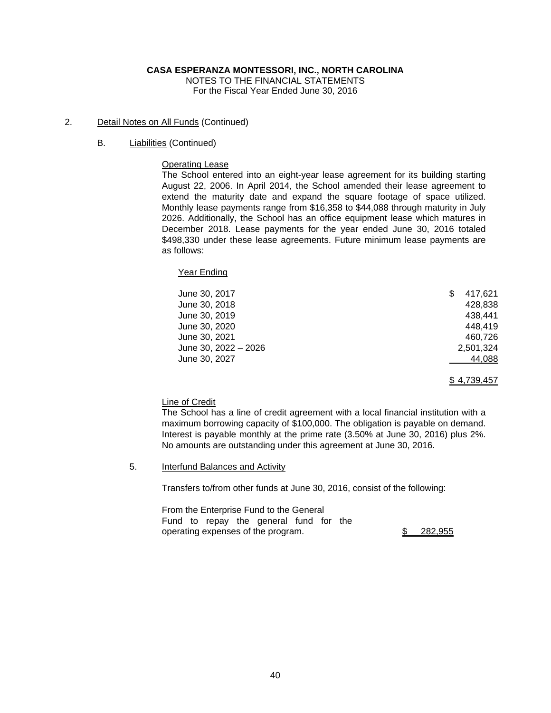NOTES TO THE FINANCIAL STATEMENTS For the Fiscal Year Ended June 30, 2016

- 2. Detail Notes on All Funds (Continued)
	- B. Liabilities (Continued)

# Operating Lease

The School entered into an eight-year lease agreement for its building starting August 22, 2006. In April 2014, the School amended their lease agreement to extend the maturity date and expand the square footage of space utilized. Monthly lease payments range from \$16,358 to \$44,088 through maturity in July 2026. Additionally, the School has an office equipment lease which matures in December 2018. Lease payments for the year ended June 30, 2016 totaled \$498,330 under these lease agreements. Future minimum lease payments are as follows:

# Year Ending

| June 30, 2017<br>June 30, 2018<br>June 30, 2019<br>June 30, 2020<br>June 30, 2021<br>June 30, 2022 - 2026 | 417.621<br>428.838<br>438.441<br>448.419<br>460.726<br>2,501,324 |
|-----------------------------------------------------------------------------------------------------------|------------------------------------------------------------------|
| June 30, 2027                                                                                             | 44,088                                                           |
|                                                                                                           |                                                                  |

## \$ 4,739,457

# Line of Credit

The School has a line of credit agreement with a local financial institution with a maximum borrowing capacity of \$100,000. The obligation is payable on demand. Interest is payable monthly at the prime rate (3.50% at June 30, 2016) plus 2%. No amounts are outstanding under this agreement at June 30, 2016.

5. Interfund Balances and Activity

Transfers to/from other funds at June 30, 2016, consist of the following:

| From the Enterprise Fund to the General |  |  |                                        |  |  |  |  |         |
|-----------------------------------------|--|--|----------------------------------------|--|--|--|--|---------|
|                                         |  |  | Fund to repay the general fund for the |  |  |  |  |         |
|                                         |  |  | operating expenses of the program.     |  |  |  |  | 282,955 |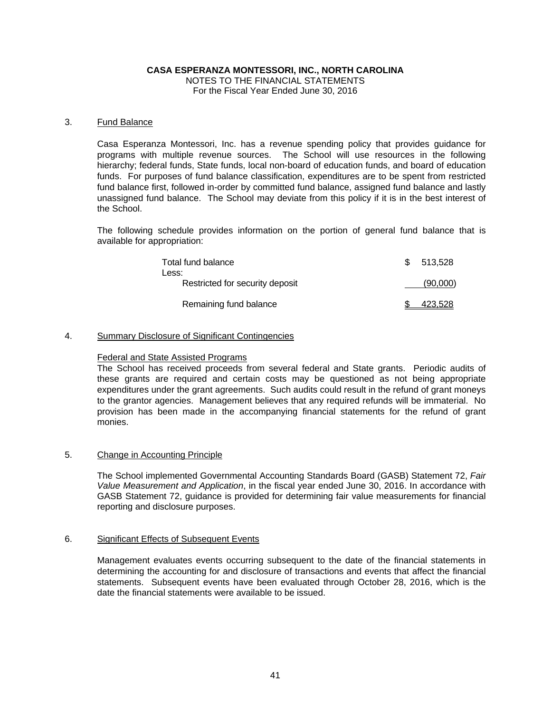NOTES TO THE FINANCIAL STATEMENTS For the Fiscal Year Ended June 30, 2016

## 3. Fund Balance

Casa Esperanza Montessori, Inc. has a revenue spending policy that provides guidance for programs with multiple revenue sources. The School will use resources in the following hierarchy; federal funds, State funds, local non-board of education funds, and board of education funds. For purposes of fund balance classification, expenditures are to be spent from restricted fund balance first, followed in-order by committed fund balance, assigned fund balance and lastly unassigned fund balance. The School may deviate from this policy if it is in the best interest of the School.

The following schedule provides information on the portion of general fund balance that is available for appropriation:

| Total fund balance                       | 513.528  |
|------------------------------------------|----------|
| Less:<br>Restricted for security deposit | (90,000) |
| Remaining fund balance                   | 423,528  |

# 4. Summary Disclosure of Significant Contingencies

## Federal and State Assisted Programs

The School has received proceeds from several federal and State grants. Periodic audits of these grants are required and certain costs may be questioned as not being appropriate expenditures under the grant agreements. Such audits could result in the refund of grant moneys to the grantor agencies. Management believes that any required refunds will be immaterial. No provision has been made in the accompanying financial statements for the refund of grant monies.

# 5. Change in Accounting Principle

The School implemented Governmental Accounting Standards Board (GASB) Statement 72, *Fair Value Measurement and Application*, in the fiscal year ended June 30, 2016. In accordance with GASB Statement 72, guidance is provided for determining fair value measurements for financial reporting and disclosure purposes.

# 6. Significant Effects of Subsequent Events

Management evaluates events occurring subsequent to the date of the financial statements in determining the accounting for and disclosure of transactions and events that affect the financial statements. Subsequent events have been evaluated through October 28, 2016, which is the date the financial statements were available to be issued.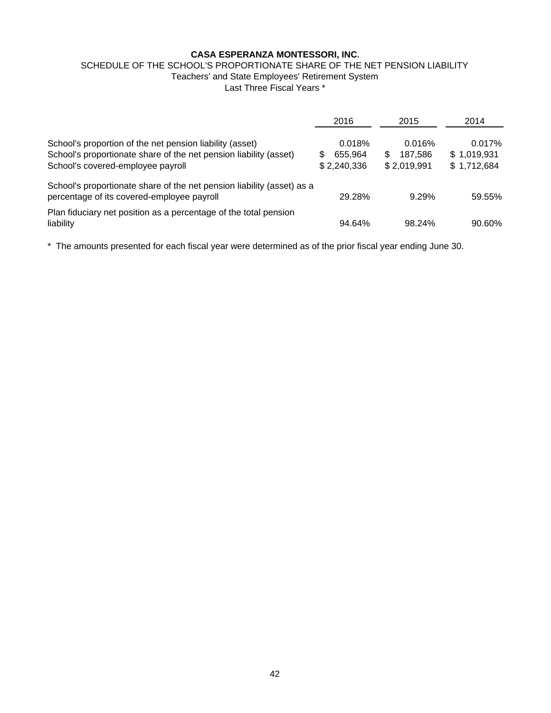# **CASA ESPERANZA MONTESSORI, INC.**

# SCHEDULE OF THE SCHOOL'S PROPORTIONATE SHARE OF THE NET PENSION LIABILITY Teachers' and State Employees' Retirement System Last Three Fiscal Years \*

|                                                                                                                      | 2016        | 2015         | 2014        |
|----------------------------------------------------------------------------------------------------------------------|-------------|--------------|-------------|
| School's proportion of the net pension liability (asset)                                                             | 0.018%      | 0.016%       | 0.017%      |
| School's proportionate share of the net pension liability (asset)                                                    | 655.964     | 187.586<br>S | \$1,019,931 |
| School's covered-employee payroll                                                                                    | \$2,240,336 | \$2,019,991  | \$1,712,684 |
| School's proportionate share of the net pension liability (asset) as a<br>percentage of its covered-employee payroll | 29.28%      | 9.29%        | 59.55%      |
| Plan fiduciary net position as a percentage of the total pension<br>liability                                        | 94.64%      | 98.24%       | 90.60%      |

\* The amounts presented for each fiscal year were determined as of the prior fiscal year ending June 30.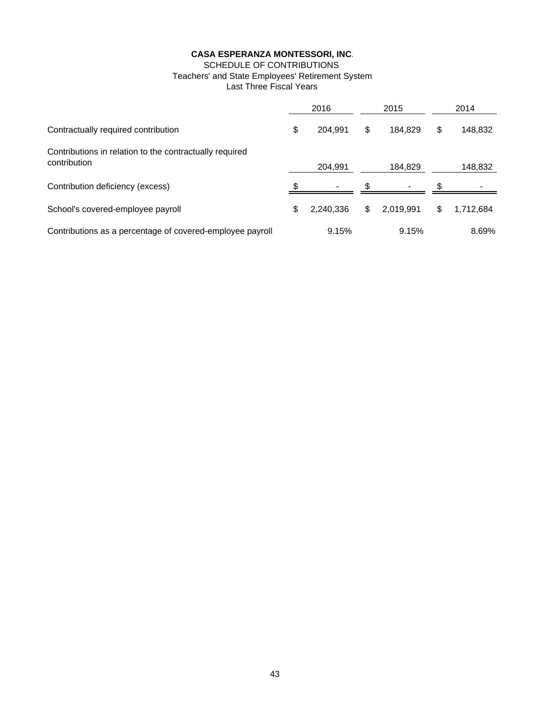# **CASA ESPERANZA MONTESSORI, INC.**

# SCHEDULE OF CONTRIBUTIONS Teachers' and State Employees' Retirement System Last Three Fiscal Years

|                                                                         |    | 2016      |     | 2015      | 2014 |           |
|-------------------------------------------------------------------------|----|-----------|-----|-----------|------|-----------|
| Contractually required contribution                                     | \$ | 204.991   | \$  | 184.829   | S    | 148,832   |
| Contributions in relation to the contractually required<br>contribution |    | 204,991   |     | 184,829   |      | 148,832   |
| Contribution deficiency (excess)                                        |    |           |     |           |      |           |
| School's covered-employee payroll                                       | \$ | 2,240,336 | \$. | 2,019,991 | S    | 1,712,684 |
| Contributions as a percentage of covered-employee payroll               |    | 9.15%     |     | 9.15%     |      | 8.69%     |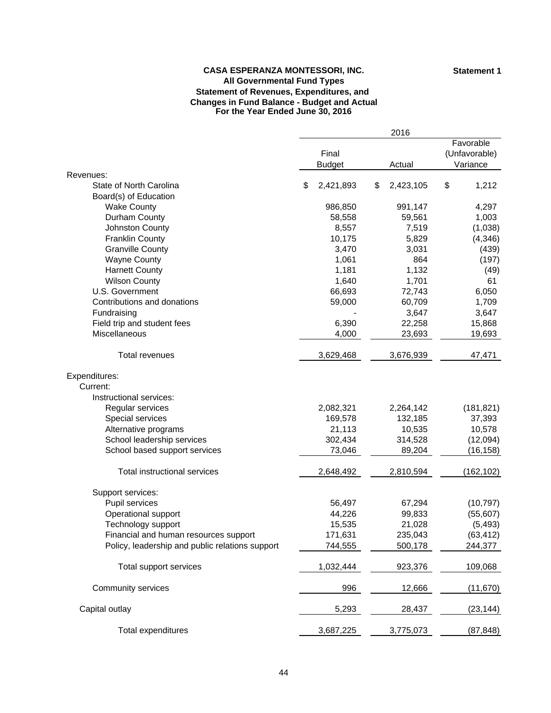# **CASA ESPERANZA MONTESSORI, INC. Statement 1 All Governmental Fund Types Statement of Revenues, Expenditures, and Changes in Fund Balance - Budget and Actual For the Year Ended June 30, 2016**

|                                                 |                 | 2016            |               |
|-------------------------------------------------|-----------------|-----------------|---------------|
|                                                 |                 |                 | Favorable     |
|                                                 | Final           |                 | (Unfavorable) |
|                                                 | <b>Budget</b>   | Actual          | Variance      |
| Revenues:                                       |                 |                 |               |
| State of North Carolina                         | \$<br>2,421,893 | \$<br>2,423,105 | \$<br>1,212   |
| Board(s) of Education                           |                 |                 |               |
| <b>Wake County</b>                              | 986,850         | 991,147         | 4,297         |
| Durham County                                   | 58,558          | 59,561          | 1,003         |
| Johnston County                                 | 8,557           | 7,519           | (1,038)       |
| <b>Franklin County</b>                          | 10,175          | 5,829           | (4, 346)      |
| <b>Granville County</b>                         | 3,470           | 3,031           | (439)         |
| <b>Wayne County</b>                             | 1,061           | 864             | (197)         |
| <b>Harnett County</b>                           | 1,181           | 1,132           | (49)          |
| <b>Wilson County</b>                            | 1,640           | 1,701           | 61            |
| U.S. Government                                 | 66,693          | 72,743          | 6,050         |
| Contributions and donations                     | 59,000          | 60,709          | 1,709         |
| Fundraising                                     |                 | 3,647           | 3,647         |
| Field trip and student fees                     | 6,390           | 22,258          | 15,868        |
| Miscellaneous                                   | 4,000           | 23,693          | 19,693        |
| <b>Total revenues</b>                           | 3,629,468       | 3,676,939       | 47,471        |
| Expenditures:                                   |                 |                 |               |
| Current:                                        |                 |                 |               |
| Instructional services:                         |                 |                 |               |
| Regular services                                | 2,082,321       | 2,264,142       | (181, 821)    |
| Special services                                | 169,578         | 132,185         | 37,393        |
| Alternative programs                            | 21,113          | 10,535          | 10,578        |
| School leadership services                      | 302,434         | 314,528         | (12,094)      |
| School based support services                   | 73,046          | 89,204          | (16, 158)     |
| <b>Total instructional services</b>             | 2,648,492       | 2,810,594       | (162, 102)    |
| Support services:                               |                 |                 |               |
| Pupil services                                  | 56,497          | 67,294          | (10, 797)     |
| Operational support                             | 44,226          | 99,833          | (55,607)      |
| Technology support                              | 15,535          | 21,028          | (5, 493)      |
| Financial and human resources support           | 171,631         | 235,043         | (63, 412)     |
| Policy, leadership and public relations support | 744,555         | 500,178         | 244,377       |
| Total support services                          | 1,032,444       | 923,376         | 109,068       |
| Community services                              | 996             | 12,666          | (11, 670)     |
| Capital outlay                                  | 5,293           | 28,437          | (23, 144)     |
| Total expenditures                              | 3,687,225       | 3,775,073       | (87, 848)     |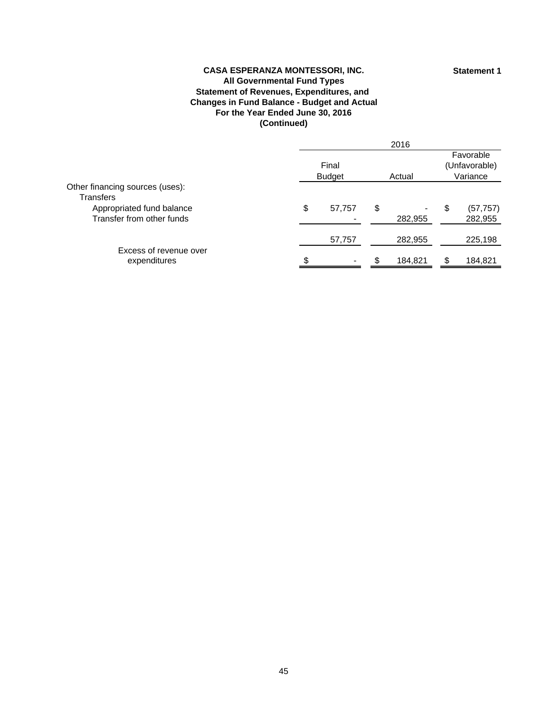# **CASA ESPERANZA MONTESSORI, INC. Statement 1 All Governmental Fund Types Statement of Revenues, Expenditures, and Changes in Fund Balance - Budget and Actual For the Year Ended June 30, 2016 (Continued)**

|                                        |                                  |                          |    | 2016                     |                                        |           |
|----------------------------------------|----------------------------------|--------------------------|----|--------------------------|----------------------------------------|-----------|
|                                        | Final<br><b>Budget</b><br>Actual |                          |    |                          | Favorable<br>(Unfavorable)<br>Variance |           |
| Other financing sources (uses):        |                                  |                          |    |                          |                                        |           |
| <b>Transfers</b>                       |                                  |                          |    |                          |                                        |           |
| Appropriated fund balance              | \$                               | 57,757                   | \$ | $\overline{\phantom{a}}$ | S                                      | (57, 757) |
| Transfer from other funds              |                                  |                          |    | 282,955                  |                                        | 282,955   |
|                                        |                                  | 57,757                   |    | 282,955                  |                                        | 225,198   |
| Excess of revenue over<br>expenditures | £.                               | $\overline{\phantom{0}}$ | £. | 184.821                  | £.                                     | 184,821   |
|                                        |                                  |                          |    |                          |                                        |           |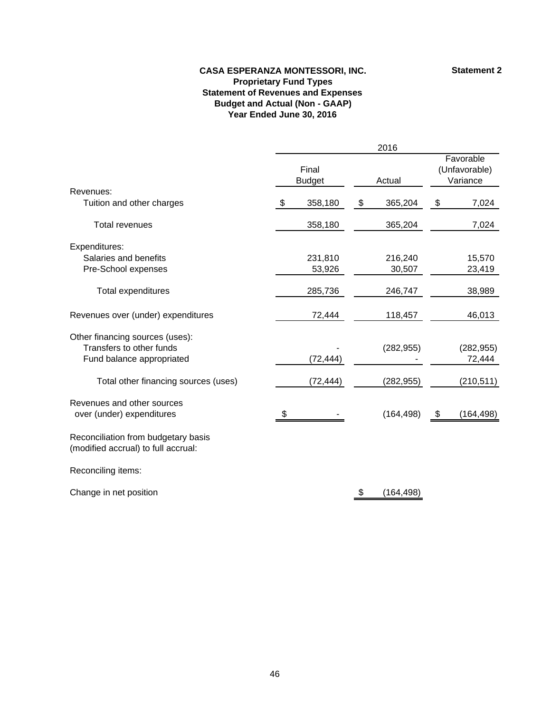# **CASA ESPERANZA MONTESSORI, INC. Statement 2 Proprietary Fund Types Statement of Revenues and Expenses Budget and Actual (Non - GAAP) Year Ended June 30, 2016**

|                                                                            |                        | 2016             |                                        |            |  |
|----------------------------------------------------------------------------|------------------------|------------------|----------------------------------------|------------|--|
|                                                                            | Final<br><b>Budget</b> | Actual           | Favorable<br>(Unfavorable)<br>Variance |            |  |
| Revenues:                                                                  |                        |                  |                                        |            |  |
| Tuition and other charges                                                  | \$<br>358,180          | \$<br>365,204    | \$                                     | 7,024      |  |
| <b>Total revenues</b>                                                      | 358,180                | 365,204          |                                        | 7,024      |  |
| Expenditures:                                                              |                        |                  |                                        |            |  |
| Salaries and benefits                                                      | 231,810                | 216,240          |                                        | 15,570     |  |
| Pre-School expenses                                                        | 53,926                 | 30,507           |                                        | 23,419     |  |
| Total expenditures                                                         | 285,736                | 246,747          |                                        | 38,989     |  |
| Revenues over (under) expenditures                                         | 72,444                 | 118,457          |                                        | 46,013     |  |
| Other financing sources (uses):                                            |                        |                  |                                        |            |  |
| Transfers to other funds                                                   |                        | (282, 955)       |                                        | (282, 955) |  |
| Fund balance appropriated                                                  | (72, 444)              |                  |                                        | 72,444     |  |
| Total other financing sources (uses)                                       | (72, 444)              | (282, 955)       |                                        | (210, 511) |  |
| Revenues and other sources<br>over (under) expenditures                    | \$                     | (164, 498)       | \$                                     | (164, 498) |  |
| Reconciliation from budgetary basis<br>(modified accrual) to full accrual: |                        |                  |                                        |            |  |
| Reconciling items:                                                         |                        |                  |                                        |            |  |
| Change in net position                                                     |                        | \$<br>(164, 498) |                                        |            |  |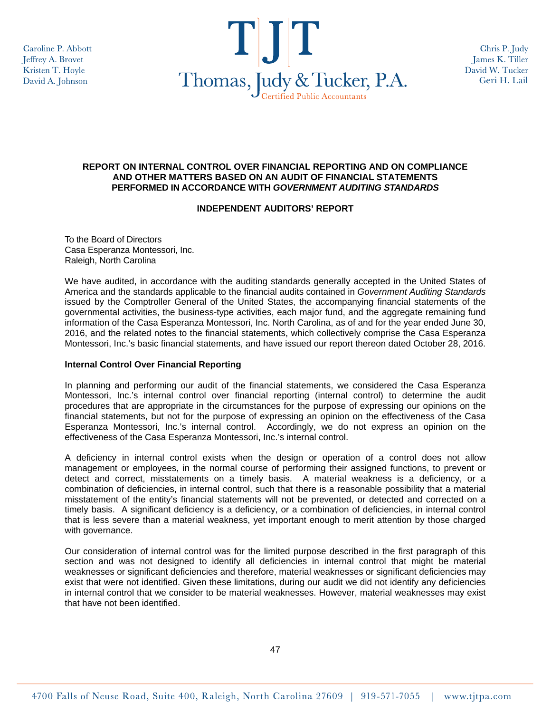Caroline P. Abbott Jeffrey A. Brovet Kristen T. Hoyle David A. Johnson



Chris P. Judy James K. Tiller David W. Tucker Geri H. Lail

# **REPORT ON INTERNAL CONTROL OVER FINANCIAL REPORTING AND ON COMPLIANCE AND OTHER MATTERS BASED ON AN AUDIT OF FINANCIAL STATEMENTS PERFORMED IN ACCORDANCE WITH** *GOVERNMENT AUDITING STANDARDS*

# **INDEPENDENT AUDITORS' REPORT**

To the Board of Directors Casa Esperanza Montessori, Inc. Raleigh, North Carolina

We have audited, in accordance with the auditing standards generally accepted in the United States of America and the standards applicable to the financial audits contained in *Government Auditing Standards* issued by the Comptroller General of the United States, the accompanying financial statements of the governmental activities, the business-type activities, each major fund, and the aggregate remaining fund information of the Casa Esperanza Montessori, Inc. North Carolina, as of and for the year ended June 30, 2016, and the related notes to the financial statements, which collectively comprise the Casa Esperanza Montessori, Inc.'s basic financial statements, and have issued our report thereon dated October 28, 2016.

# **Internal Control Over Financial Reporting**

In planning and performing our audit of the financial statements, we considered the Casa Esperanza Montessori, Inc.'s internal control over financial reporting (internal control) to determine the audit procedures that are appropriate in the circumstances for the purpose of expressing our opinions on the financial statements, but not for the purpose of expressing an opinion on the effectiveness of the Casa Esperanza Montessori, Inc.'s internal control. Accordingly, we do not express an opinion on the effectiveness of the Casa Esperanza Montessori, Inc.'s internal control.

A deficiency in internal control exists when the design or operation of a control does not allow management or employees, in the normal course of performing their assigned functions, to prevent or detect and correct, misstatements on a timely basis. A material weakness is a deficiency, or a combination of deficiencies, in internal control, such that there is a reasonable possibility that a material misstatement of the entity's financial statements will not be prevented, or detected and corrected on a timely basis. A significant deficiency is a deficiency, or a combination of deficiencies, in internal control that is less severe than a material weakness, yet important enough to merit attention by those charged with governance.

Our consideration of internal control was for the limited purpose described in the first paragraph of this section and was not designed to identify all deficiencies in internal control that might be material weaknesses or significant deficiencies and therefore, material weaknesses or significant deficiencies may exist that were not identified. Given these limitations, during our audit we did not identify any deficiencies in internal control that we consider to be material weaknesses. However, material weaknesses may exist that have not been identified.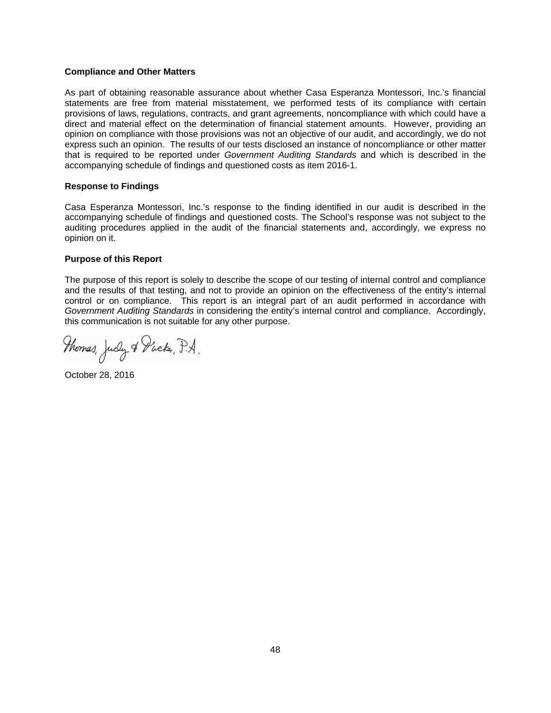## **Compliance and Other Matters**

As part of obtaining reasonable assurance about whether Casa Esperanza Montessori, Inc.'s financial statements are free from material misstatement, we performed tests of its compliance with certain provisions of laws, regulations, contracts, and grant agreements, noncompliance with which could have a direct and material effect on the determination of financial statement amounts. However, providing an opinion on compliance with those provisions was not an objective of our audit, and accordingly, we do not express such an opinion. The results of our tests disclosed an instance of noncompliance or other matter that is required to be reported under *Government Auditing Standards* and which is described in the accompanying schedule of findings and questioned costs as item 2016-1.

## **Response to Findings**

Casa Esperanza Montessori, Inc.'s response to the finding identified in our audit is described in the accompanying schedule of findings and questioned costs. The School's response was not subject to the auditing procedures applied in the audit of the financial statements and, accordingly, we express no opinion on it.

## **Purpose of this Report**

The purpose of this report is solely to describe the scope of our testing of internal control and compliance and the results of that testing, and not to provide an opinion on the effectiveness of the entity's internal control or on compliance. This report is an integral part of an audit performed in accordance with *Government Auditing Standards* in considering the entity's internal control and compliance. Accordingly, this communication is not suitable for any other purpose.

Thomas, Judy & Packs, P.A.

October 28, 2016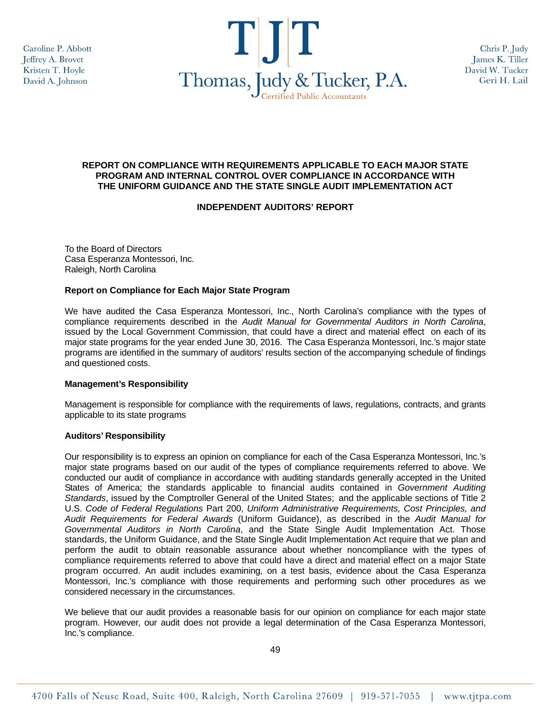Caroline P. Abbott Jeffrey A. Brovet Kristen T. Hoyle David A. Johnson



Chris P. Judy James K. Tiller David W. Tucker Geri H. Lail

# **REPORT ON COMPLIANCE WITH REQUIREMENTS APPLICABLE TO EACH MAJOR STATE PROGRAM AND INTERNAL CONTROL OVER COMPLIANCE IN ACCORDANCE WITH THE UNIFORM GUIDANCE AND THE STATE SINGLE AUDIT IMPLEMENTATION ACT**

# **INDEPENDENT AUDITORS' REPORT**

To the Board of Directors Casa Esperanza Montessori, Inc. Raleigh, North Carolina

# **Report on Compliance for Each Major State Program**

We have audited the Casa Esperanza Montessori, Inc., North Carolina's compliance with the types of compliance requirements described in the *Audit Manual for Governmental Auditors in North Carolina*, issued by the Local Government Commission, that could have a direct and material effect on each of its major state programs for the year ended June 30, 2016. The Casa Esperanza Montessori, Inc.'s major state programs are identified in the summary of auditors' results section of the accompanying schedule of findings and questioned costs.

# **Management's Responsibility**

Management is responsible for compliance with the requirements of laws, regulations, contracts, and grants applicable to its state programs

# **Auditors' Responsibility**

Our responsibility is to express an opinion on compliance for each of the Casa Esperanza Montessori, Inc.'s major state programs based on our audit of the types of compliance requirements referred to above. We conducted our audit of compliance in accordance with auditing standards generally accepted in the United States of America; the standards applicable to financial audits contained in *Government Auditing Standards*, issued by the Comptroller General of the United States; and the applicable sections of Title 2 U.S. *Code of Federal Regulations* Part 200, *Uniform Administrative Requirements, Cost Principles, and Audit Requirements for Federal Awards* (Uniform Guidance), as described in the *Audit Manual for Governmental Auditors in North Carolina*, and the State Single Audit Implementation Act. Those standards, the Uniform Guidance, and the State Single Audit Implementation Act require that we plan and perform the audit to obtain reasonable assurance about whether noncompliance with the types of compliance requirements referred to above that could have a direct and material effect on a major State program occurred. An audit includes examining, on a test basis, evidence about the Casa Esperanza Montessori, Inc.'s compliance with those requirements and performing such other procedures as we considered necessary in the circumstances.

We believe that our audit provides a reasonable basis for our opinion on compliance for each major state program. However, our audit does not provide a legal determination of the Casa Esperanza Montessori, Inc.'s compliance.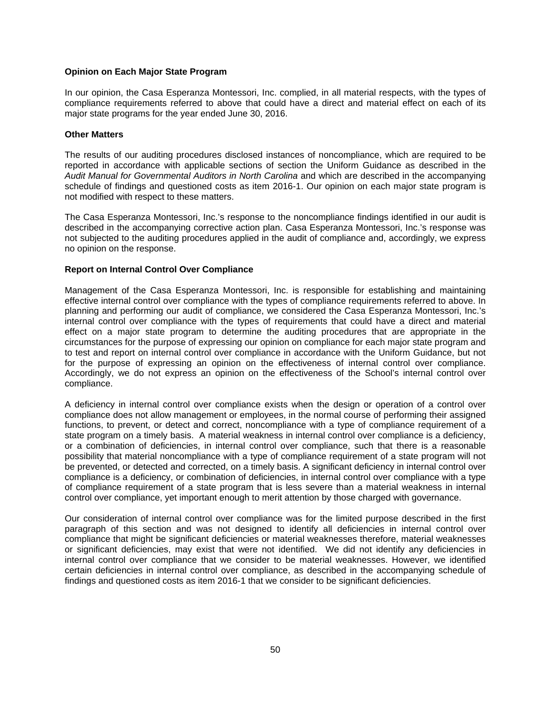## **Opinion on Each Major State Program**

In our opinion, the Casa Esperanza Montessori, Inc. complied, in all material respects, with the types of compliance requirements referred to above that could have a direct and material effect on each of its major state programs for the year ended June 30, 2016.

### **Other Matters**

The results of our auditing procedures disclosed instances of noncompliance, which are required to be reported in accordance with applicable sections of section the Uniform Guidance as described in the *Audit Manual for Governmental Auditors in North Carolina* and which are described in the accompanying schedule of findings and questioned costs as item 2016-1. Our opinion on each major state program is not modified with respect to these matters.

The Casa Esperanza Montessori, Inc.'s response to the noncompliance findings identified in our audit is described in the accompanying corrective action plan. Casa Esperanza Montessori, Inc.'s response was not subjected to the auditing procedures applied in the audit of compliance and, accordingly, we express no opinion on the response.

## **Report on Internal Control Over Compliance**

Management of the Casa Esperanza Montessori, Inc. is responsible for establishing and maintaining effective internal control over compliance with the types of compliance requirements referred to above. In planning and performing our audit of compliance, we considered the Casa Esperanza Montessori, Inc.'s internal control over compliance with the types of requirements that could have a direct and material effect on a major state program to determine the auditing procedures that are appropriate in the circumstances for the purpose of expressing our opinion on compliance for each major state program and to test and report on internal control over compliance in accordance with the Uniform Guidance, but not for the purpose of expressing an opinion on the effectiveness of internal control over compliance. Accordingly, we do not express an opinion on the effectiveness of the School's internal control over compliance.

A deficiency in internal control over compliance exists when the design or operation of a control over compliance does not allow management or employees, in the normal course of performing their assigned functions, to prevent, or detect and correct, noncompliance with a type of compliance requirement of a state program on a timely basis. A material weakness in internal control over compliance is a deficiency, or a combination of deficiencies, in internal control over compliance, such that there is a reasonable possibility that material noncompliance with a type of compliance requirement of a state program will not be prevented, or detected and corrected, on a timely basis. A significant deficiency in internal control over compliance is a deficiency, or combination of deficiencies, in internal control over compliance with a type of compliance requirement of a state program that is less severe than a material weakness in internal control over compliance, yet important enough to merit attention by those charged with governance.

Our consideration of internal control over compliance was for the limited purpose described in the first paragraph of this section and was not designed to identify all deficiencies in internal control over compliance that might be significant deficiencies or material weaknesses therefore, material weaknesses or significant deficiencies, may exist that were not identified. We did not identify any deficiencies in internal control over compliance that we consider to be material weaknesses. However, we identified certain deficiencies in internal control over compliance, as described in the accompanying schedule of findings and questioned costs as item 2016-1 that we consider to be significant deficiencies.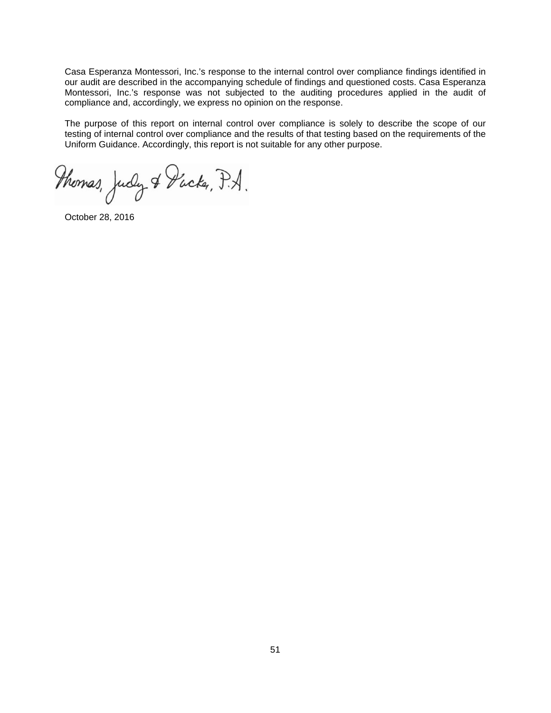Casa Esperanza Montessori, Inc.'s response to the internal control over compliance findings identified in our audit are described in the accompanying schedule of findings and questioned costs. Casa Esperanza Montessori, Inc.'s response was not subjected to the auditing procedures applied in the audit of compliance and, accordingly, we express no opinion on the response.

The purpose of this report on internal control over compliance is solely to describe the scope of our testing of internal control over compliance and the results of that testing based on the requirements of the Uniform Guidance. Accordingly, this report is not suitable for any other purpose.

Thomas, Judy & Packer, P.A.

October 28, 2016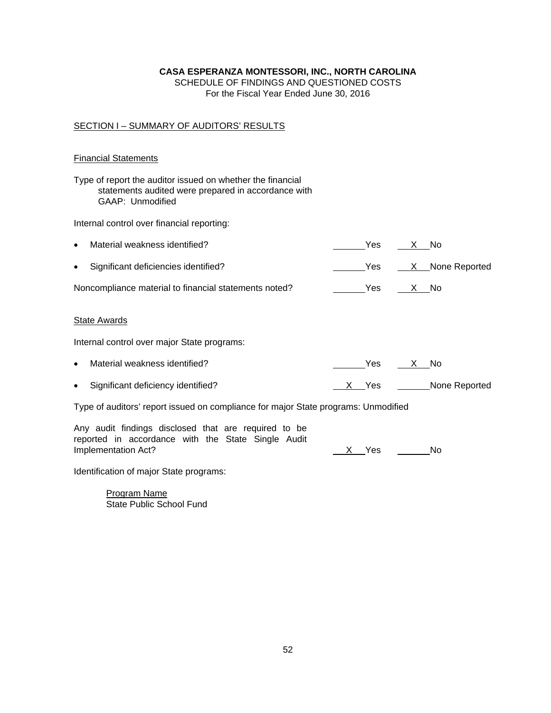SCHEDULE OF FINDINGS AND QUESTIONED COSTS For the Fiscal Year Ended June 30, 2016

# SECTION I – SUMMARY OF AUDITORS' RESULTS

## Financial Statements

Type of report the auditor issued on whether the financial statements audited were prepared in accordance with GAAP: Unmodified

Internal control over financial reporting:

• Material weakness identified?  $\overline{\phantom{a}}$  / Yes  $\overline{\phantom{a}}$  X No • Significant deficiencies identified? <br>
Yes X None Reported

Noncompliance material to financial statements noted?  $\overline{\phantom{a}}$  Yes  $\overline{\phantom{a}}$  X No

## **State Awards**

Internal control over major State programs:

- Material weakness identified? The Material weakness identified? The Material Material of Material Material Material Material Material Material Material Material Material Material Material Material Material Material Materia
- Significant deficiency identified? <br>
X Yes None Reported

Type of auditors' report issued on compliance for major State programs: Unmodified

| Any audit findings disclosed that are required to be |              |
|------------------------------------------------------|--------------|
| reported in accordance with the State Single Audit   |              |
| Implementation Act?                                  | X Yes<br>No. |

Identification of major State programs:

 Program Name State Public School Fund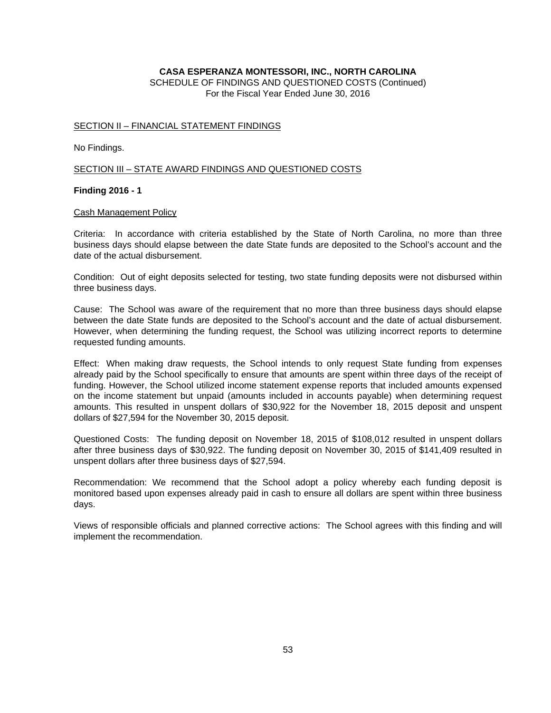SCHEDULE OF FINDINGS AND QUESTIONED COSTS (Continued) For the Fiscal Year Ended June 30, 2016

## SECTION II – FINANCIAL STATEMENT FINDINGS

No Findings.

## SECTION III – STATE AWARD FINDINGS AND QUESTIONED COSTS

## **Finding 2016 - 1**

## Cash Management Policy

Criteria: In accordance with criteria established by the State of North Carolina, no more than three business days should elapse between the date State funds are deposited to the School's account and the date of the actual disbursement.

Condition: Out of eight deposits selected for testing, two state funding deposits were not disbursed within three business days.

Cause: The School was aware of the requirement that no more than three business days should elapse between the date State funds are deposited to the School's account and the date of actual disbursement. However, when determining the funding request, the School was utilizing incorrect reports to determine requested funding amounts.

Effect: When making draw requests, the School intends to only request State funding from expenses already paid by the School specifically to ensure that amounts are spent within three days of the receipt of funding. However, the School utilized income statement expense reports that included amounts expensed on the income statement but unpaid (amounts included in accounts payable) when determining request amounts. This resulted in unspent dollars of \$30,922 for the November 18, 2015 deposit and unspent dollars of \$27,594 for the November 30, 2015 deposit.

Questioned Costs: The funding deposit on November 18, 2015 of \$108,012 resulted in unspent dollars after three business days of \$30,922. The funding deposit on November 30, 2015 of \$141,409 resulted in unspent dollars after three business days of \$27,594.

Recommendation: We recommend that the School adopt a policy whereby each funding deposit is monitored based upon expenses already paid in cash to ensure all dollars are spent within three business days.

Views of responsible officials and planned corrective actions: The School agrees with this finding and will implement the recommendation.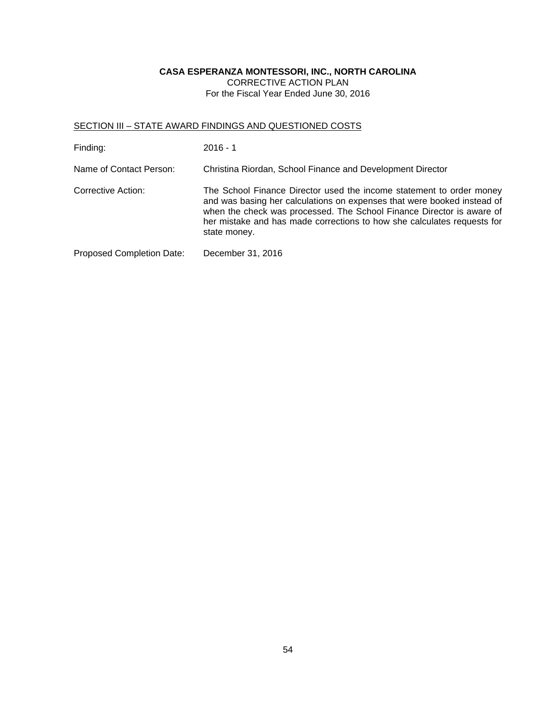CORRECTIVE ACTION PLAN For the Fiscal Year Ended June 30, 2016

# SECTION III – STATE AWARD FINDINGS AND QUESTIONED COSTS

| Finding: | $2016 - 1$ |
|----------|------------|
|          |            |

Name of Contact Person: Christina Riordan, School Finance and Development Director

Corrective Action: The School Finance Director used the income statement to order money and was basing her calculations on expenses that were booked instead of when the check was processed. The School Finance Director is aware of her mistake and has made corrections to how she calculates requests for state money.

Proposed Completion Date: December 31, 2016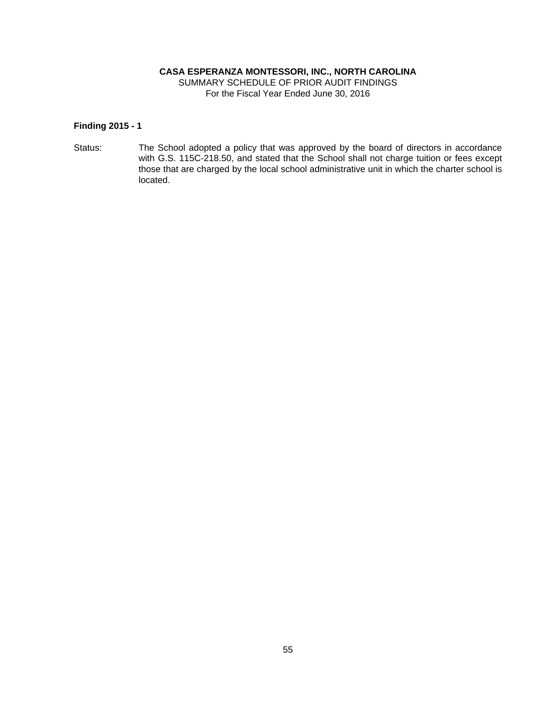SUMMARY SCHEDULE OF PRIOR AUDIT FINDINGS For the Fiscal Year Ended June 30, 2016

# **Finding 2015 - 1**

Status: The School adopted a policy that was approved by the board of directors in accordance with G.S. 115C-218.50, and stated that the School shall not charge tuition or fees except those that are charged by the local school administrative unit in which the charter school is located.